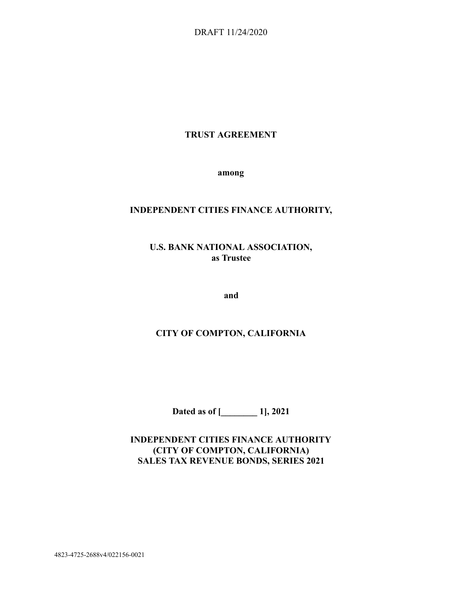DRAFT 11/24/2020

## **TRUST AGREEMENT**

**among** 

## **INDEPENDENT CITIES FINANCE AUTHORITY,**

# **U.S. BANK NATIONAL ASSOCIATION, as Trustee**

**and** 

## **CITY OF COMPTON, CALIFORNIA**

**Dated as of [\_\_\_\_\_\_\_\_ 1], 2021** 

**INDEPENDENT CITIES FINANCE AUTHORITY (CITY OF COMPTON, CALIFORNIA) SALES TAX REVENUE BONDS, SERIES 2021** 

4823-4725-2688v4/022156-0021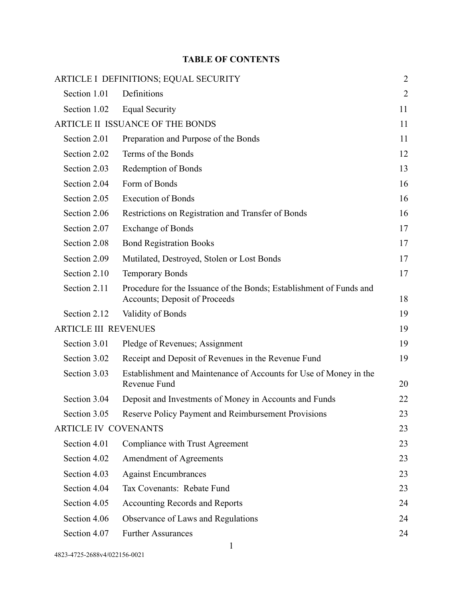# **TABLE OF CONTENTS**

|                             | <b>ARTICLE I DEFINITIONS; EQUAL SECURITY</b>                                                         | $\overline{2}$ |
|-----------------------------|------------------------------------------------------------------------------------------------------|----------------|
| Section 1.01                | Definitions                                                                                          | $\overline{2}$ |
| Section 1.02                | <b>Equal Security</b>                                                                                | 11             |
|                             | ARTICLE II ISSUANCE OF THE BONDS                                                                     | 11             |
| Section 2.01                | Preparation and Purpose of the Bonds                                                                 | 11             |
| Section 2.02                | Terms of the Bonds                                                                                   | 12             |
| Section 2.03                | Redemption of Bonds                                                                                  | 13             |
| Section 2.04                | Form of Bonds                                                                                        | 16             |
| Section 2.05                | <b>Execution of Bonds</b>                                                                            | 16             |
| Section 2.06                | Restrictions on Registration and Transfer of Bonds                                                   | 16             |
| Section 2.07                | <b>Exchange of Bonds</b>                                                                             | 17             |
| Section 2.08                | <b>Bond Registration Books</b>                                                                       | 17             |
| Section 2.09                | Mutilated, Destroyed, Stolen or Lost Bonds                                                           | 17             |
| Section 2.10                | <b>Temporary Bonds</b>                                                                               | 17             |
| Section 2.11                | Procedure for the Issuance of the Bonds; Establishment of Funds and<br>Accounts; Deposit of Proceeds | 18             |
| Section 2.12                | Validity of Bonds                                                                                    | 19             |
| <b>ARTICLE III REVENUES</b> |                                                                                                      | 19             |
| Section 3.01                | Pledge of Revenues; Assignment                                                                       | 19             |
| Section 3.02                | Receipt and Deposit of Revenues in the Revenue Fund                                                  | 19             |
| Section 3.03                | Establishment and Maintenance of Accounts for Use of Money in the<br>Revenue Fund                    | 20             |
| Section 3.04                | Deposit and Investments of Money in Accounts and Funds                                               | 22             |
| Section 3.05                | Reserve Policy Payment and Reimbursement Provisions                                                  | 23             |
| <b>ARTICLE IV COVENANTS</b> |                                                                                                      | 23             |
| Section 4.01                | Compliance with Trust Agreement                                                                      | 23             |
| Section 4.02                | Amendment of Agreements                                                                              | 23             |
| Section 4.03                | <b>Against Encumbrances</b>                                                                          | 23             |
| Section 4.04                | Tax Covenants: Rebate Fund                                                                           | 23             |
| Section 4.05                | Accounting Records and Reports                                                                       | 24             |
| Section 4.06                | Observance of Laws and Regulations                                                                   | 24             |
| Section 4.07                | <b>Further Assurances</b>                                                                            | 24             |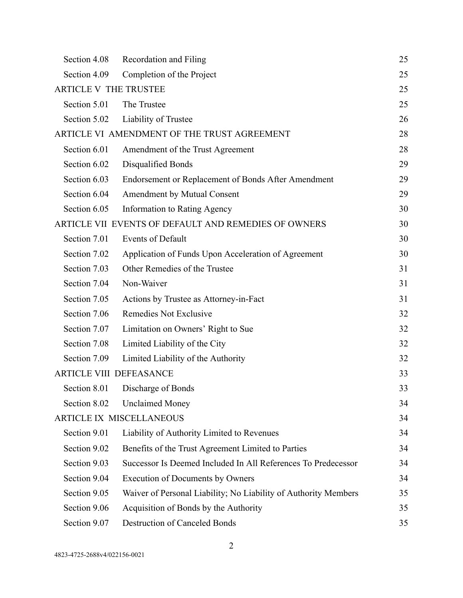| Section 4.08                   | Recordation and Filing                                          | 25 |
|--------------------------------|-----------------------------------------------------------------|----|
| Section 4.09                   | Completion of the Project                                       | 25 |
| <b>ARTICLE V THE TRUSTEE</b>   |                                                                 | 25 |
| Section 5.01                   | The Trustee                                                     | 25 |
| Section 5.02                   | Liability of Trustee                                            | 26 |
|                                | ARTICLE VI AMENDMENT OF THE TRUST AGREEMENT                     | 28 |
| Section 6.01                   | Amendment of the Trust Agreement                                | 28 |
| Section 6.02                   | Disqualified Bonds                                              | 29 |
| Section 6.03                   | Endorsement or Replacement of Bonds After Amendment             | 29 |
| Section 6.04                   | Amendment by Mutual Consent                                     | 29 |
| Section 6.05                   | Information to Rating Agency                                    | 30 |
|                                | ARTICLE VII EVENTS OF DEFAULT AND REMEDIES OF OWNERS            | 30 |
| Section 7.01                   | <b>Events of Default</b>                                        | 30 |
| Section 7.02                   | Application of Funds Upon Acceleration of Agreement             | 30 |
| Section 7.03                   | Other Remedies of the Trustee                                   | 31 |
| Section 7.04                   | Non-Waiver                                                      | 31 |
| Section 7.05                   | Actions by Trustee as Attorney-in-Fact                          | 31 |
| Section 7.06                   | Remedies Not Exclusive                                          | 32 |
| Section 7.07                   | Limitation on Owners' Right to Sue                              | 32 |
| Section 7.08                   | Limited Liability of the City                                   | 32 |
| Section 7.09                   | Limited Liability of the Authority                              | 32 |
| <b>ARTICLE VIII DEFEASANCE</b> |                                                                 | 33 |
| Section 8.01                   | Discharge of Bonds                                              | 33 |
| Section 8.02                   | <b>Unclaimed Money</b>                                          | 34 |
|                                | <b>ARTICLE IX MISCELLANEOUS</b>                                 | 34 |
| Section 9.01                   | Liability of Authority Limited to Revenues                      | 34 |
| Section 9.02                   | Benefits of the Trust Agreement Limited to Parties              | 34 |
| Section 9.03                   | Successor Is Deemed Included In All References To Predecessor   | 34 |
| Section 9.04                   | <b>Execution of Documents by Owners</b>                         | 34 |
| Section 9.05                   | Waiver of Personal Liability; No Liability of Authority Members | 35 |
| Section 9.06                   | Acquisition of Bonds by the Authority                           | 35 |
| Section 9.07                   | <b>Destruction of Canceled Bonds</b>                            | 35 |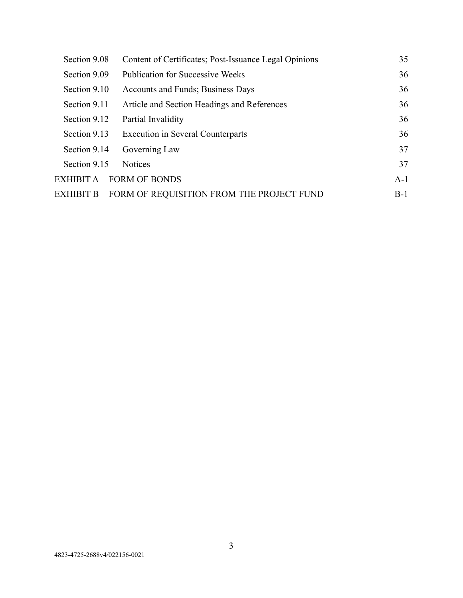| Section 9.08 | Content of Certificates; Post-Issuance Legal Opinions | 35    |
|--------------|-------------------------------------------------------|-------|
| Section 9.09 | <b>Publication for Successive Weeks</b>               | 36    |
| Section 9.10 | Accounts and Funds; Business Days                     | 36    |
| Section 9.11 | Article and Section Headings and References           | 36    |
| Section 9.12 | Partial Invalidity                                    | 36    |
| Section 9.13 | <b>Execution in Several Counterparts</b>              | 36    |
| Section 9.14 | Governing Law                                         | 37    |
| Section 9.15 | <b>Notices</b>                                        | 37    |
| EXHIBIT A    | <b>FORM OF BONDS</b>                                  | $A-1$ |
| EXHIBIT B    | FORM OF REQUISITION FROM THE PROJECT FUND             | $B-1$ |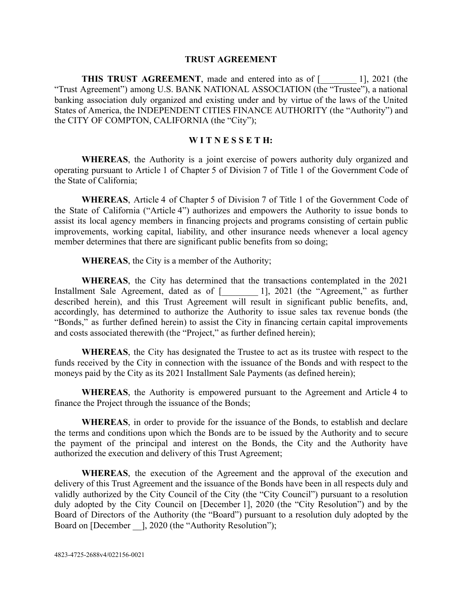#### **TRUST AGREEMENT**

**THIS TRUST AGREEMENT**, made and entered into as of [2001 (the "Trust Agreement") among U.S. BANK NATIONAL ASSOCIATION (the "Trustee"), a national banking association duly organized and existing under and by virtue of the laws of the United States of America, the INDEPENDENT CITIES FINANCE AUTHORITY (the "Authority") and the CITY OF COMPTON, CALIFORNIA (the "City");

### **W I T N E S S E T H:**

**WHEREAS**, the Authority is a joint exercise of powers authority duly organized and operating pursuant to Article 1 of Chapter 5 of Division 7 of Title 1 of the Government Code of the State of California;

**WHEREAS** , Article 4 of Chapter 5 of Division 7 of Title 1 of the Government Code of the State of California ("Article 4") authorizes and empowers the Authority to issue bonds to assist its local agency members in financing projects and programs consisting of certain public improvements, working capital, liability, and other insurance needs whenever a local agency member determines that there are significant public benefits from so doing;

**WHEREAS** , the City is a member of the Authority;

**WHEREAS** , the City has determined that the transactions contemplated in the 2021 Installment Sale Agreement, dated as of [1, 2021 (the "Agreement," as further described herein), and this Trust Agreement will result in significant public benefits, and, accordingly, has determined to authorize the Authority to issue sales tax revenue bonds (the "Bonds," as further defined herein) to assist the City in financing certain capital improvements and costs associated therewith (the "Project," as further defined herein);

**WHEREAS** , the City has designated the Trustee to act as its trustee with respect to the funds received by the City in connection with the issuance of the Bonds and with respect to the moneys paid by the City as its 2021 Installment Sale Payments (as defined herein);

**WHEREAS** , the Authority is empowered pursuant to the Agreement and Article 4 to finance the Project through the issuance of the Bonds;

**WHEREAS** , in order to provide for the issuance of the Bonds, to establish and declare the terms and conditions upon which the Bonds are to be issued by the Authority and to secure the payment of the principal and interest on the Bonds, the City and the Authority have authorized the execution and delivery of this Trust Agreement;

WHEREAS, the execution of the Agreement and the approval of the execution and delivery of this Trust Agreement and the issuance of the Bonds have been in all respects duly and validly authorized by the City Council of the City (the "City Council") pursuant to a resolution duly adopted by the City Council on [December 1], 2020 (the "City Resolution") and by the Board of Directors of the Authority (the "Board") pursuant to a resolution duly adopted by the Board on [December ], 2020 (the "Authority Resolution");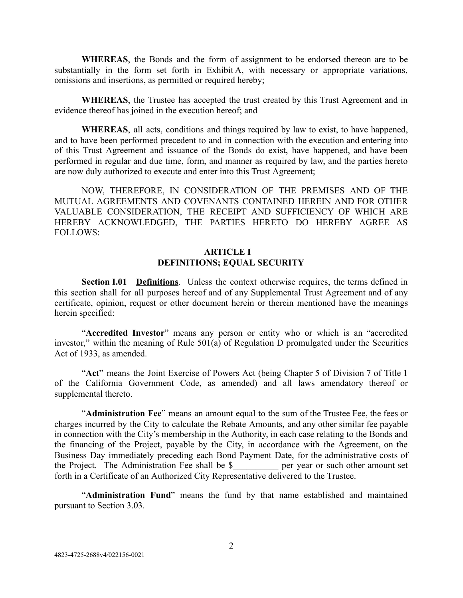**WHEREAS** , the Bonds and the form of assignment to be endorsed thereon are to be substantially in the form set forth in Exhibit A, with necessary or appropriate variations, omissions and insertions, as permitted or required hereby;

**WHEREAS** , the Trustee has accepted the trust created by this Trust Agreement and in evidence thereof has joined in the execution hereof; and

**WHEREAS**, all acts, conditions and things required by law to exist, to have happened, and to have been performed precedent to and in connection with the execution and entering into of this Trust Agreement and issuance of the Bonds do exist, have happened, and have been performed in regular and due time, form, and manner as required by law, and the parties hereto are now duly authorized to execute and enter into this Trust Agreement;

NOW, THEREFORE, IN CONSIDERATION OF THE PREMISES AND OF THE MUTUAL AGREEMENTS AND COVENANTS CONTAINED HEREIN AND FOR OTHER VALUABLE CONSIDERATION, THE RECEIPT AND SUFFICIENCY OF WHICH ARE HEREBY ACKNOWLEDGED, THE PARTIES HERETO DO HEREBY AGREE AS FOLLOWS:

## **ARTICLE I DEFINITIONS; EQUAL SECURITY**

<span id="page-5-1"></span><span id="page-5-0"></span>**Section I.01 Definitions**. Unless the context otherwise requires, the terms defined in this section shall for all purposes hereof and of any Supplemental Trust Agreement and of any certificate, opinion, request or other document herein or therein mentioned have the meanings herein specified:

"Accredited Investor" means any person or entity who or which is an "accredited investor," within the meaning of Rule  $501(a)$  of Regulation D promulgated under the Securities Act of 1933, as amended.

"Act" means the Joint Exercise of Powers Act (being Chapter 5 of Division 7 of Title 1 of the California Government Code, as amended) and all laws amendatory thereof or supplemental thereto.

"**Administration Fee**" means an amount equal to the sum of the Trustee Fee, the fees or charges incurred by the City to calculate the Rebate Amounts, and any other similar fee payable in connection with the City's membership in the Authority, in each case relating to the Bonds and the financing of the Project, payable by the City, in accordance with the Agreement, on the Business Day immediately preceding each Bond Payment Date, for the administrative costs of the Project. The Administration Fee shall be \$\_\_\_\_\_\_\_\_\_\_ per year or such other amount set forth in a Certificate of an Authorized City Representative delivered to the Trustee.

"Administration Fund" means the fund by that name established and maintained pursuant to Section 3.03.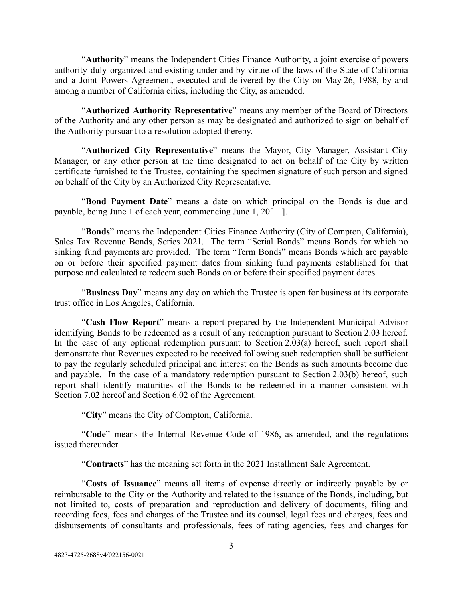"**Authority**" means the Independent Cities Finance Authority, a joint exercise of powers authority duly organized and existing under and by virtue of the laws of the State of California and a Joint Powers Agreement, executed and delivered by the City on May 26, 1988, by and among a number of California cities, including the City, as amended.

" **Authorized Authority Representative** " means any member of the Board of Directors of the Authority and any other person as may be designated and authorized to sign on behalf of the Authority pursuant to a resolution adopted thereby.

"Authorized City Representative" means the Mayor, City Manager, Assistant City Manager, or any other person at the time designated to act on behalf of the City by written certificate furnished to the Trustee, containing the specimen signature of such person and signed on behalf of the City by an Authorized City Representative.

"Bond Payment Date" means a date on which principal on the Bonds is due and payable, being June 1 of each year, commencing June 1, 20[\_\_].

"**Bonds**" means the Independent Cities Finance Authority (City of Compton, California), Sales Tax Revenue Bonds, Series 2021. The term "Serial Bonds" means Bonds for which no sinking fund payments are provided. The term "Term Bonds" means Bonds which are payable on or before their specified payment dates from sinking fund payments established for that purpose and calculated to redeem such Bonds on or before their specified payment dates.

"Business Day" means any day on which the Trustee is open for business at its corporate trust office in Los Angeles, California.

"Cash Flow Report" means a report prepared by the Independent Municipal Advisor identifying Bonds to be redeemed as a result of any redemption pursuant to Section 2.03 hereof. In the case of any optional redemption pursuant to Section  $2.03(a)$  hereof, such report shall demonstrate that Revenues expected to be received following such redemption shall be sufficient to pay the regularly scheduled principal and interest on the Bonds as such amounts become due and payable. In the case of a mandatory redemption pursuant to Section 2.03(b) hereof, such report shall identify maturities of the Bonds to be redeemed in a manner consistent with Section 7.02 hereof and Section 6.02 of the Agreement.

" **City** " means the City of Compton, California.

"Code" means the Internal Revenue Code of 1986, as amended, and the regulations issued thereunder.

" **Contracts** " has the meaning set forth in the 2021 Installment Sale Agreement.

"Costs of Issuance" means all items of expense directly or indirectly payable by or reimbursable to the City or the Authority and related to the issuance of the Bonds, including, but not limited to, costs of preparation and reproduction and delivery of documents, filing and recording fees, fees and charges of the Trustee and its counsel, legal fees and charges, fees and disbursements of consultants and professionals, fees of rating agencies, fees and charges for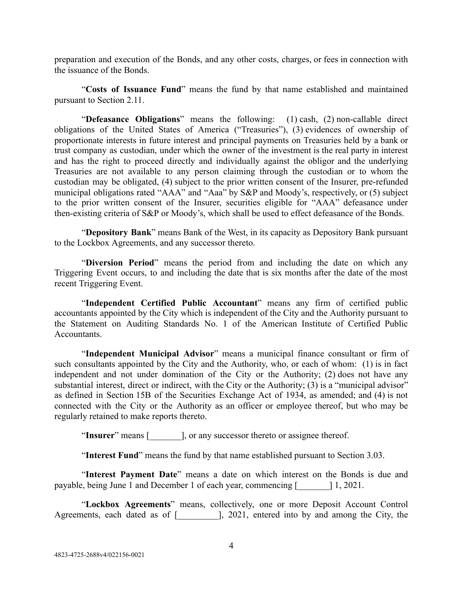preparation and execution of the Bonds, and any other costs, charges, or fees in connection with the issuance of the Bonds.

"Costs of Issuance Fund" means the fund by that name established and maintained pursuant to Section 2.11.

"Defeasance Obligations" means the following: (1) cash, (2) non-callable direct obligations of the United States of America ("Treasuries"), (3) evidences of ownership of proportionate interests in future interest and principal payments on Treasuries held by a bank or trust company as custodian, under which the owner of the investment is the real party in interest and has the right to proceed directly and individually against the obligor and the underlying Treasuries are not available to any person claiming through the custodian or to whom the custodian may be obligated, (4) subject to the prior written consent of the Insurer, pre-refunded municipal obligations rated "AAA" and "Aaa" by S&P and Moody's, respectively, or (5) subject to the prior written consent of the Insurer, securities eligible for "AAA" defeasance under then-existing criteria of S&P or Moody's, which shall be used to effect defeasance of the Bonds.

" **Depository Bank** " means Bank of the West, in its capacity as Depository Bank pursuant to the Lockbox Agreements, and any successor thereto.

"Diversion Period" means the period from and including the date on which any Triggering Event occurs, to and including the date that is six months after the date of the most recent Triggering Event.

"Independent Certified Public Accountant" means any firm of certified public accountants appointed by the City which is independent of the City and the Authority pursuant to the Statement on Auditing Standards No. 1 of the American Institute of Certified Public **Accountants** 

"Independent Municipal Advisor" means a municipal finance consultant or firm of such consultants appointed by the City and the Authority, who, or each of whom: (1) is in fact independent and not under domination of the City or the Authority; (2) does not have any substantial interest, direct or indirect, with the City or the Authority; (3) is a "municipal advisor" as defined in Section 15B of the Securities Exchange Act of 1934, as amended; and (4) is not connected with the City or the Authority as an officer or employee thereof, but who may be regularly retained to make reports thereto.

"Insurer" means [ellist], or any successor thereto or assignee thereof.

"**Interest Fund**" means the fund by that name established pursuant to Section 3.03.

"Interest Payment Date" means a date on which interest on the Bonds is due and payable, being June 1 and December 1 of each year, commencing [\_\_\_\_\_\_\_] 1, 2021.

"Lockbox Agreements" means, collectively, one or more Deposit Account Control Agreements, each dated as of [  $\qquad$  ], 2021, entered into by and among the City, the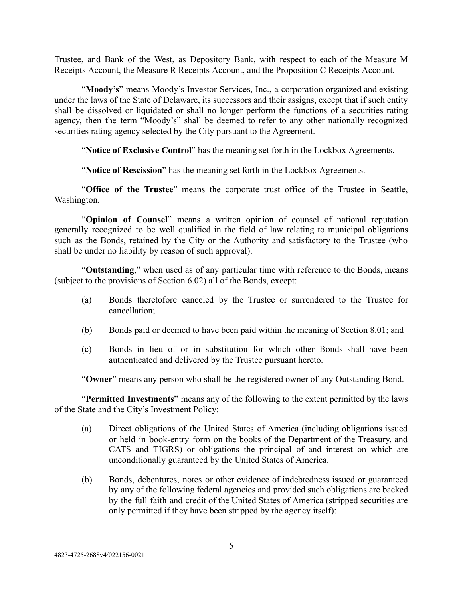Trustee, and Bank of the West, as Depository Bank, with respect to each of the Measure M Receipts Account, the Measure R Receipts Account, and the Proposition C Receipts Account.

" **Moody's** " means Moody's Investor Services, Inc., a corporation organized and existing under the laws of the State of Delaware, its successors and their assigns, except that if such entity shall be dissolved or liquidated or shall no longer perform the functions of a securities rating agency, then the term "Moody's" shall be deemed to refer to any other nationally recognized securities rating agency selected by the City pursuant to the Agreement.

"Notice of Exclusive Control" has the meaning set forth in the Lockbox Agreements.

" **Notice of Rescission** " has the meaning set forth in the Lockbox Agreements.

"Office of the Trustee" means the corporate trust office of the Trustee in Seattle, Washington.

"**Opinion of Counsel**" means a written opinion of counsel of national reputation generally recognized to be well qualified in the field of law relating to municipal obligations such as the Bonds, retained by the City or the Authority and satisfactory to the Trustee (who shall be under no liability by reason of such approval).

"Outstanding," when used as of any particular time with reference to the Bonds, means (subject to the provisions of Section 6.02) all of the Bonds, except:

- (a) Bonds theretofore canceled by the Trustee or surrendered to the Trustee for cancellation;
- (b) Bonds paid or deemed to have been paid within the meaning of Section 8.01; and
- (c) Bonds in lieu of or in substitution for which other Bonds shall have been authenticated and delivered by the Trustee pursuant hereto.

"Owner" means any person who shall be the registered owner of any Outstanding Bond.

"**Permitted Investments**" means any of the following to the extent permitted by the laws of the State and the City's Investment Policy:

- (a) Direct obligations of the United States of America (including obligations issued or held in book-entry form on the books of the Department of the Treasury, and CATS and TIGRS) or obligations the principal of and interest on which are unconditionally guaranteed by the United States of America.
- (b) Bonds, debentures, notes or other evidence of indebtedness issued or guaranteed by any of the following federal agencies and provided such obligations are backed by the full faith and credit of the United States of America (stripped securities are only permitted if they have been stripped by the agency itself):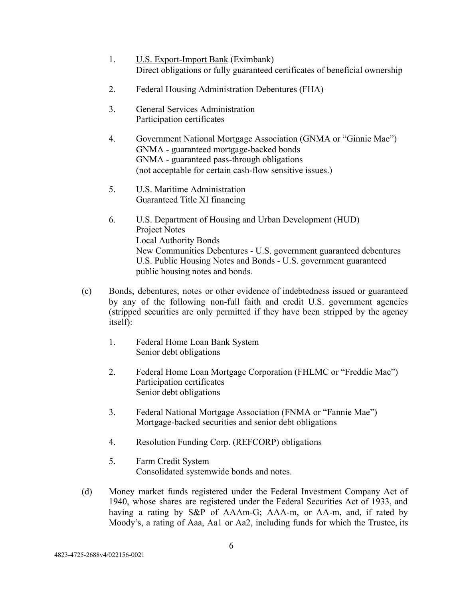- 1. U.S. Export-Import Bank (Eximbank) Direct obligations or fully guaranteed certificates of beneficial ownership
- 2. Federal Housing Administration Debentures (FHA)
- 3. General Services Administration Participation certificates
- 4. Government National Mortgage Association (GNMA or "Ginnie Mae") GNMA - guaranteed mortgage-backed bonds GNMA - guaranteed pass-through obligations (not acceptable for certain cash-flow sensitive issues.)
- 5. U.S. Maritime Administration Guaranteed Title XI financing
- 6. U.S. Department of Housing and Urban Development (HUD) Project Notes Local Authority Bonds New Communities Debentures - U.S. government guaranteed debentures U.S. Public Housing Notes and Bonds - U.S. government guaranteed public housing notes and bonds.
- (c) Bonds, debentures, notes or other evidence of indebtedness issued or guaranteed by any of the following non-full faith and credit U.S. government agencies (stripped securities are only permitted if they have been stripped by the agency itself):
	- 1. Federal Home Loan Bank System Senior debt obligations
	- 2. Federal Home Loan Mortgage Corporation (FHLMC or "Freddie Mac") Participation certificates Senior debt obligations
	- 3. Federal National Mortgage Association (FNMA or "Fannie Mae") Mortgage-backed securities and senior debt obligations
	- 4. Resolution Funding Corp. (REFCORP) obligations
	- 5. Farm Credit System Consolidated systemwide bonds and notes.
- (d) Money market funds registered under the Federal Investment Company Act of 1940, whose shares are registered under the Federal Securities Act of 1933, and having a rating by S&P of AAAm-G; AAA-m, or AA-m, and, if rated by Moody's, a rating of Aaa, Aa1 or Aa2, including funds for which the Trustee, its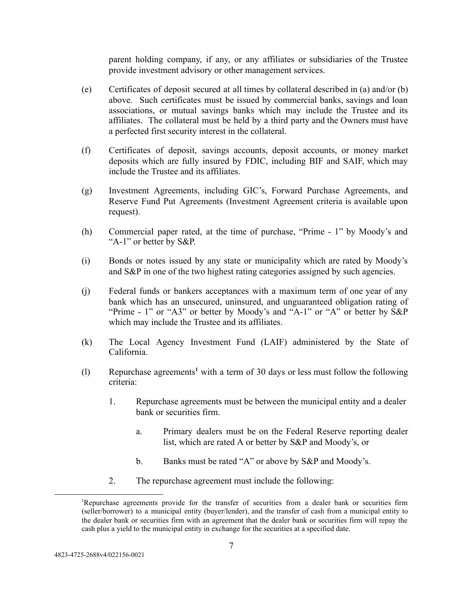parent holding company, if any, or any affiliates or subsidiaries of the Trustee provide investment advisory or other management services.

- (e) Certificates of deposit secured at all times by collateral described in (a) and/or (b) above. Such certificates must be issued by commercial banks, savings and loan associations, or mutual savings banks which may include the Trustee and its affiliates. The collateral must be held by a third party and the Owners must have a perfected first security interest in the collateral.
- (f) Certificates of deposit, savings accounts, deposit accounts, or money market deposits which are fully insured by FDIC, including BIF and SAIF, which may include the Trustee and its affiliates.
- (g) Investment Agreements, including GIC's, Forward Purchase Agreements, and Reserve Fund Put Agreements (Investment Agreement criteria is available upon request).
- (h) Commercial paper rated, at the time of purchase, "Prime 1" by Moody's and "A-1" or better by S&P.
- (i) Bonds or notes issued by any state or municipality which are rated by Moody's and S&P in one of the two highest rating categories assigned by such agencies.
- (j) Federal funds or bankers acceptances with a maximum term of one year of any bank which has an unsecured, uninsured, and unguaranteed obligation rating of "Prime - 1" or "A3" or better by Moody's and "A-1" or "A" or better by S&P which may include the Trustee and its affiliates.
- (k) The Local Agency Investment Fund (LAIF) administered by the State of California.
- (l) Repurchase agreements<sup>1</sup> with a term of 30 days or less must follow the following criteria:
	- 1. Repurchase agreements must be between the municipal entity and a dealer bank or securities firm.
		- a. Primary dealers must be on the Federal Reserve reporting dealer list, which are rated A or better by S&P and Moody's, or
		- b. Banks must be rated "A" or above by S&P and Moody's.
	- 2. The repurchase agreement must include the following:

<sup>1</sup>Repurchase agreements provide for the transfer of securities from a dealer bank or securities firm (seller/borrower) to a municipal entity (buyer/lender), and the transfer of cash from a municipal entity to the dealer bank or securities firm with an agreement that the dealer bank or securities firm will repay the cash plus a yield to the municipal entity in exchange for the securities at a specified date.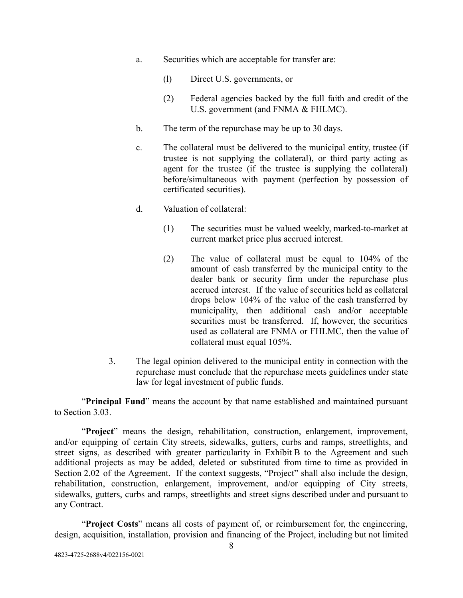- a. Securities which are acceptable for transfer are:
	- (l) Direct U.S. governments, or
	- (2) Federal agencies backed by the full faith and credit of the U.S. government (and FNMA & FHLMC).
- b. The term of the repurchase may be up to 30 days.
- c. The collateral must be delivered to the municipal entity, trustee (if trustee is not supplying the collateral), or third party acting as agent for the trustee (if the trustee is supplying the collateral) before/simultaneous with payment (perfection by possession of certificated securities).
- d. Valuation of collateral:
	- (1) The securities must be valued weekly, marked-to-market at current market price plus accrued interest.
	- (2) The value of collateral must be equal to 104% of the amount of cash transferred by the municipal entity to the dealer bank or security firm under the repurchase plus accrued interest. If the value of securities held as collateral drops below 104% of the value of the cash transferred by municipality, then additional cash and/or acceptable securities must be transferred. If, however, the securities used as collateral are FNMA or FHLMC, then the value of collateral must equal 105%.
- 3. The legal opinion delivered to the municipal entity in connection with the repurchase must conclude that the repurchase meets guidelines under state law for legal investment of public funds.

"**Principal Fund**" means the account by that name established and maintained pursuant to Section 3.03.

"Project" means the design, rehabilitation, construction, enlargement, improvement, and/or equipping of certain City streets, sidewalks, gutters, curbs and ramps, streetlights, and street signs, as described with greater particularity in Exhibit B to the Agreement and such additional projects as may be added, deleted or substituted from time to time as provided in Section 2.02 of the Agreement. If the context suggests, "Project" shall also include the design, rehabilitation, construction, enlargement, improvement, and/or equipping of City streets, sidewalks, gutters, curbs and ramps, streetlights and street signs described under and pursuant to any Contract.

"**Project Costs**" means all costs of payment of, or reimbursement for, the engineering, design, acquisition, installation, provision and financing of the Project, including but not limited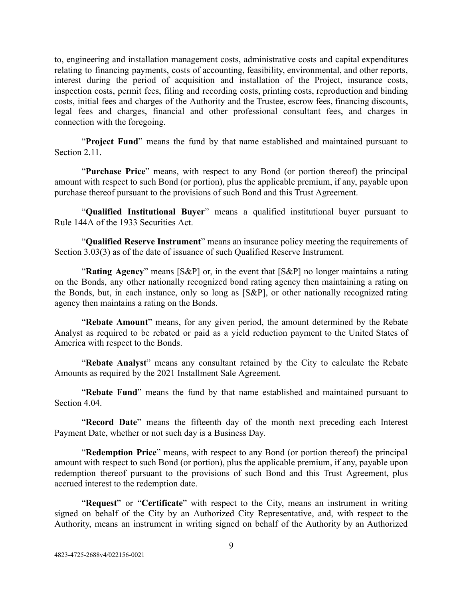to, engineering and installation management costs, administrative costs and capital expenditures relating to financing payments, costs of accounting, feasibility, environmental, and other reports, interest during the period of acquisition and installation of the Project, insurance costs, inspection costs, permit fees, filing and recording costs, printing costs, reproduction and binding costs, initial fees and charges of the Authority and the Trustee, escrow fees, financing discounts, legal fees and charges, financial and other professional consultant fees, and charges in connection with the foregoing.

"**Project Fund**" means the fund by that name established and maintained pursuant to Section 2.11

"**Purchase Price**" means, with respect to any Bond (or portion thereof) the principal amount with respect to such Bond (or portion), plus the applicable premium, if any, payable upon purchase thereof pursuant to the provisions of such Bond and this Trust Agreement.

"**Qualified Institutional Buyer**" means a qualified institutional buyer pursuant to Rule 144A of the 1933 Securities Act.

"**Qualified Reserve Instrument**" means an insurance policy meeting the requirements of Section 3.03(3) as of the date of issuance of such Qualified Reserve Instrument.

"Rating Agency" means [S&P] or, in the event that [S&P] no longer maintains a rating on the Bonds, any other nationally recognized bond rating agency then maintaining a rating on the Bonds, but, in each instance, only so long as [S&P], or other nationally recognized rating agency then maintains a rating on the Bonds.

"Rebate Amount" means, for any given period, the amount determined by the Rebate Analyst as required to be rebated or paid as a yield reduction payment to the United States of America with respect to the Bonds.

"Rebate Analyst" means any consultant retained by the City to calculate the Rebate Amounts as required by the 2021 Installment Sale Agreement.

"Rebate Fund" means the fund by that name established and maintained pursuant to Section 4.04

"Record Date" means the fifteenth day of the month next preceding each Interest Payment Date, whether or not such day is a Business Day.

"**Redemption Price**" means, with respect to any Bond (or portion thereof) the principal amount with respect to such Bond (or portion), plus the applicable premium, if any, payable upon redemption thereof pursuant to the provisions of such Bond and this Trust Agreement, plus accrued interest to the redemption date.

"**Request**" or "**Certificate**" with respect to the City, means an instrument in writing signed on behalf of the City by an Authorized City Representative, and, with respect to the Authority, means an instrument in writing signed on behalf of the Authority by an Authorized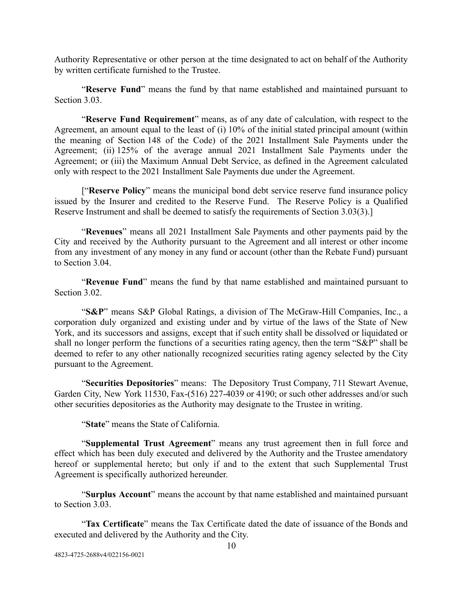Authority Representative or other person at the time designated to act on behalf of the Authority by written certificate furnished to the Trustee.

"Reserve Fund" means the fund by that name established and maintained pursuant to Section 3.03

"Reserve Fund Requirement" means, as of any date of calculation, with respect to the Agreement, an amount equal to the least of (i) 10% of the initial stated principal amount (within the meaning of Section 148 of the Code) of the 2021 Installment Sale Payments under the Agreement; (ii) 125% of the average annual 2021 Installment Sale Payments under the Agreement; or (iii) the Maximum Annual Debt Service, as defined in the Agreement calculated only with respect to the 2021 Installment Sale Payments due under the Agreement.

["Reserve Policy" means the municipal bond debt service reserve fund insurance policy issued by the Insurer and credited to the Reserve Fund. The Reserve Policy is a Qualified Reserve Instrument and shall be deemed to satisfy the requirements of Section 3.03(3).]

"Revenues" means all 2021 Installment Sale Payments and other payments paid by the City and received by the Authority pursuant to the Agreement and all interest or other income from any investment of any money in any fund or account (other than the Rebate Fund) pursuant to Section 3.04.

"Revenue Fund" means the fund by that name established and maintained pursuant to Section 3.02

"S&P" means S&P Global Ratings, a division of The McGraw-Hill Companies, Inc., a corporation duly organized and existing under and by virtue of the laws of the State of New York, and its successors and assigns, except that if such entity shall be dissolved or liquidated or shall no longer perform the functions of a securities rating agency, then the term "S&P" shall be deemed to refer to any other nationally recognized securities rating agency selected by the City pursuant to the Agreement.

" **Securities Depositories** " means: The Depository Trust Company, 711 Stewart Avenue, Garden City, New York 11530, Fax-(516) 227-4039 or 4190; or such other addresses and/or such other securities depositories as the Authority may designate to the Trustee in writing.

"State" means the State of California.

"Supplemental Trust Agreement" means any trust agreement then in full force and effect which has been duly executed and delivered by the Authority and the Trustee amendatory hereof or supplemental hereto; but only if and to the extent that such Supplemental Trust Agreement is specifically authorized hereunder.

"Surplus Account" means the account by that name established and maintained pursuant to Section 3.03.

"Tax Certificate" means the Tax Certificate dated the date of issuance of the Bonds and executed and delivered by the Authority and the City.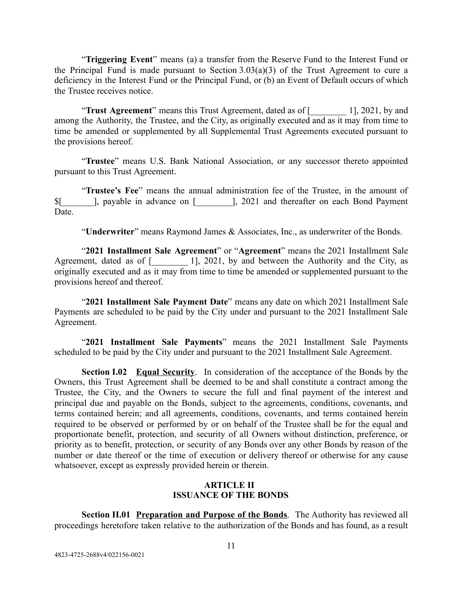"**Triggering Event**" means (a) a transfer from the Reserve Fund to the Interest Fund or the Principal Fund is made pursuant to Section 3.03(a)(3) of the Trust Agreement to cure a deficiency in the Interest Fund or the Principal Fund, or (b) an Event of Default occurs of which the Trustee receives notice.

"**Trust Agreement**" means this Trust Agreement, dated as of [2021, by and among the Authority, the Trustee, and the City, as originally executed and as it may from time to time be amended or supplemented by all Supplemental Trust Agreements executed pursuant to the provisions hereof.

"Trustee" means U.S. Bank National Association, or any successor thereto appointed pursuant to this Trust Agreement.

"Trustee's Fee" means the annual administration fee of the Trustee, in the amount of \$[\_\_\_\_\_\_\_], payable in advance on [\_\_\_\_\_\_\_\_], 2021 and thereafter on each Bond Payment **Date** 

"**Underwriter**" means Raymond James & Associates, Inc., as underwriter of the Bonds.

"2021 Installment Sale Agreement" or "Agreement" means the 2021 Installment Sale Agreement, dated as of  $\begin{bmatrix} 1 \end{bmatrix}$ , 2021, by and between the Authority and the City, as originally executed and as it may from time to time be amended or supplemented pursuant to the provisions hereof and thereof.

"2021 Installment Sale Payment Date" means any date on which 2021 Installment Sale Payments are scheduled to be paid by the City under and pursuant to the 2021 Installment Sale Agreement.

"2021 Installment Sale Payments" means the 2021 Installment Sale Payments scheduled to be paid by the City under and pursuant to the 2021 Installment Sale Agreement.

<span id="page-14-0"></span>**Section I.02 Equal Security**. In consideration of the acceptance of the Bonds by the Owners, this Trust Agreement shall be deemed to be and shall constitute a contract among the Trustee, the City, and the Owners to secure the full and final payment of the interest and principal due and payable on the Bonds, subject to the agreements, conditions, covenants, and terms contained herein; and all agreements, conditions, covenants, and terms contained herein required to be observed or performed by or on behalf of the Trustee shall be for the equal and proportionate benefit, protection, and security of all Owners without distinction, preference, or priority as to benefit, protection, or security of any Bonds over any other Bonds by reason of the number or date thereof or the time of execution or delivery thereof or otherwise for any cause whatsoever, except as expressly provided herein or therein.

## **ARTICLE II ISSUANCE OF THE BONDS**

<span id="page-14-2"></span><span id="page-14-1"></span>**Section II.01 Preparation and Purpose of the Bonds**. The Authority has reviewed all proceedings heretofore taken relative to the authorization of the Bonds and has found, as a result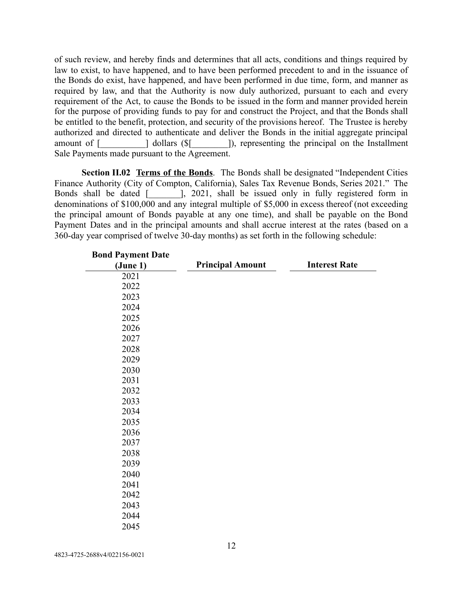of such review, and hereby finds and determines that all acts, conditions and things required by law to exist, to have happened, and to have been performed precedent to and in the issuance of the Bonds do exist, have happened, and have been performed in due time, form, and manner as required by law, and that the Authority is now duly authorized, pursuant to each and every requirement of the Act, to cause the Bonds to be issued in the form and manner provided herein for the purpose of providing funds to pay for and construct the Project, and that the Bonds shall be entitled to the benefit, protection, and security of the provisions hereof. The Trustee is hereby authorized and directed to authenticate and deliver the Bonds in the initial aggregate principal amount of [  $\qquad$  ] dollars (\$ [  $\qquad$  ]), representing the principal on the Installment Sale Payments made pursuant to the Agreement.

<span id="page-15-0"></span>**Section II.02 Terms of the Bonds** . The Bonds shall be designated "Independent Cities Finance Authority (City of Compton, California), Sales Tax Revenue Bonds, Series 2021." The Bonds shall be dated [  $\qquad$  ], 2021, shall be issued only in fully registered form in denominations of \$100,000 and any integral multiple of \$5,000 in excess thereof (not exceeding the principal amount of Bonds payable at any one time), and shall be payable on the Bond Payment Dates and in the principal amounts and shall accrue interest at the rates (based on a 360-day year comprised of twelve 30-day months) as set forth in the following schedule:

| <b>Bond Payment Date</b> |                         |                      |
|--------------------------|-------------------------|----------------------|
| (June 1)                 | <b>Principal Amount</b> | <b>Interest Rate</b> |
| 2021                     |                         |                      |
| 2022                     |                         |                      |
| 2023                     |                         |                      |
| 2024                     |                         |                      |
| 2025                     |                         |                      |
| 2026                     |                         |                      |
| 2027                     |                         |                      |
| 2028                     |                         |                      |
| 2029                     |                         |                      |
| 2030                     |                         |                      |
| 2031                     |                         |                      |
| 2032                     |                         |                      |
| 2033                     |                         |                      |
| 2034                     |                         |                      |
| 2035                     |                         |                      |
| 2036                     |                         |                      |
| 2037                     |                         |                      |
| 2038                     |                         |                      |
| 2039                     |                         |                      |
| 2040                     |                         |                      |
| 2041                     |                         |                      |
| 2042                     |                         |                      |
| 2043                     |                         |                      |
| 2044                     |                         |                      |
| 2045                     |                         |                      |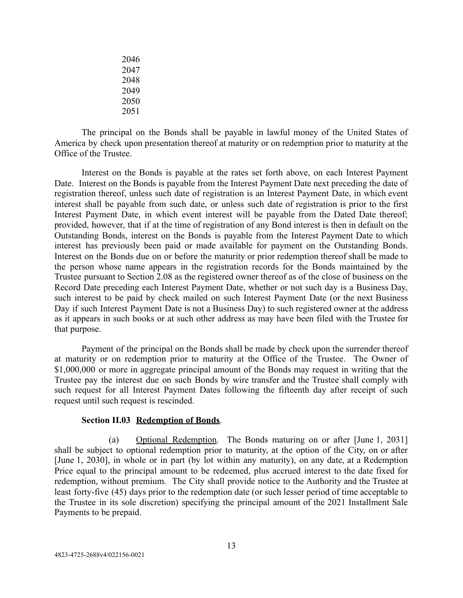The principal on the Bonds shall be payable in lawful money of the United States of America by check upon presentation thereof at maturity or on redemption prior to maturity at the Office of the Trustee.

Interest on the Bonds is payable at the rates set forth above, on each Interest Payment Date. Interest on the Bonds is payable from the Interest Payment Date next preceding the date of registration thereof, unless such date of registration is an Interest Payment Date, in which event interest shall be payable from such date, or unless such date of registration is prior to the first Interest Payment Date, in which event interest will be payable from the Dated Date thereof; provided, however, that if at the time of registration of any Bond interest is then in default on the Outstanding Bonds, interest on the Bonds is payable from the Interest Payment Date to which interest has previously been paid or made available for payment on the Outstanding Bonds. Interest on the Bonds due on or before the maturity or prior redemption thereof shall be made to the person whose name appears in the registration records for the Bonds maintained by the Trustee pursuant to Section 2.08 as the registered owner thereof as of the close of business on the Record Date preceding each Interest Payment Date, whether or not such day is a Business Day, such interest to be paid by check mailed on such Interest Payment Date (or the next Business Day if such Interest Payment Date is not a Business Day) to such registered owner at the address as it appears in such books or at such other address as may have been filed with the Trustee for that purpose.

Payment of the principal on the Bonds shall be made by check upon the surrender thereof at maturity or on redemption prior to maturity at the Office of the Trustee. The Owner of \$1,000,000 or more in aggregate principal amount of the Bonds may request in writing that the Trustee pay the interest due on such Bonds by wire transfer and the Trustee shall comply with such request for all Interest Payment Dates following the fifteenth day after receipt of such request until such request is rescinded.

#### **Section II.03 Redemption of Bonds.**

<span id="page-16-0"></span>(a) Optional Redemption . The Bonds maturing on or after [June 1, 2031] shall be subject to optional redemption prior to maturity, at the option of the City, on or after [June 1, 2030], in whole or in part (by lot within any maturity), on any date, at a Redemption Price equal to the principal amount to be redeemed, plus accrued interest to the date fixed for redemption, without premium. The City shall provide notice to the Authority and the Trustee at least forty-five (45) days prior to the redemption date (or such lesser period of time acceptable to the Trustee in its sole discretion) specifying the principal amount of the 2021 Installment Sale Payments to be prepaid.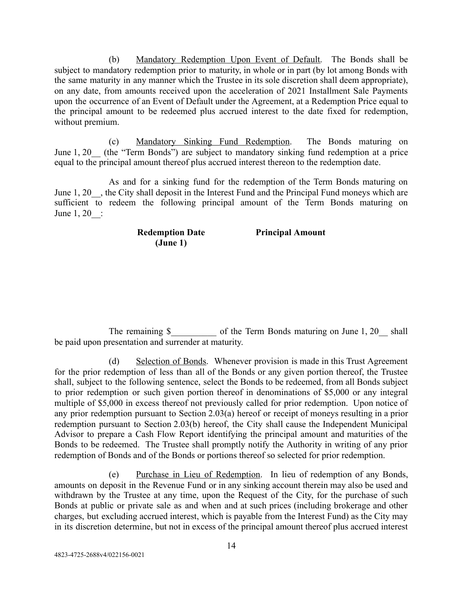(b) Mandatory Redemption Upon Event of Default. The Bonds shall be subject to mandatory redemption prior to maturity, in whole or in part (by lot among Bonds with the same maturity in any manner which the Trustee in its sole discretion shall deem appropriate), on any date, from amounts received upon the acceleration of 2021 Installment Sale Payments upon the occurrence of an Event of Default under the Agreement, at a Redemption Price equal to the principal amount to be redeemed plus accrued interest to the date fixed for redemption, without premium.

(c) Mandatory Sinking Fund Redemption. The Bonds maturing on June 1, 20 (the "Term Bonds") are subject to mandatory sinking fund redemption at a price equal to the principal amount thereof plus accrued interest thereon to the redemption date.

As and for a sinking fund for the redemption of the Term Bonds maturing on June 1, 20 , the City shall deposit in the Interest Fund and the Principal Fund moneys which are sufficient to redeem the following principal amount of the Term Bonds maturing on June 1, 20\_\_:

> **Redemption Date (June 1) Principal Amount**

The remaining \$ The Term Bonds maturing on June 1, 20 shall be paid upon presentation and surrender at maturity.

(d) Selection of Bonds. Whenever provision is made in this Trust Agreement for the prior redemption of less than all of the Bonds or any given portion thereof, the Trustee shall, subject to the following sentence, select the Bonds to be redeemed, from all Bonds subject to prior redemption or such given portion thereof in denominations of \$5,000 or any integral multiple of \$5,000 in excess thereof not previously called for prior redemption. Upon notice of any prior redemption pursuant to Section 2.03(a) hereof or receipt of moneys resulting in a prior redemption pursuant to Section 2.03(b) hereof, the City shall cause the Independent Municipal Advisor to prepare a Cash Flow Report identifying the principal amount and maturities of the Bonds to be redeemed. The Trustee shall promptly notify the Authority in writing of any prior redemption of Bonds and of the Bonds or portions thereof so selected for prior redemption.

(e) Purchase in Lieu of Redemption . In lieu of redemption of any Bonds, amounts on deposit in the Revenue Fund or in any sinking account therein may also be used and withdrawn by the Trustee at any time, upon the Request of the City, for the purchase of such Bonds at public or private sale as and when and at such prices (including brokerage and other charges, but excluding accrued interest, which is payable from the Interest Fund) as the City may in its discretion determine, but not in excess of the principal amount thereof plus accrued interest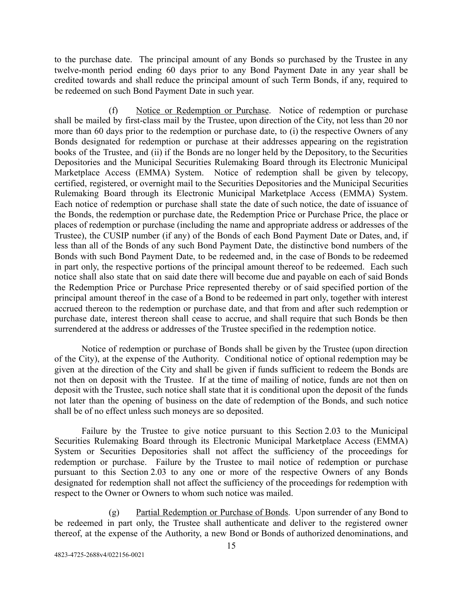to the purchase date. The principal amount of any Bonds so purchased by the Trustee in any twelve-month period ending 60 days prior to any Bond Payment Date in any year shall be credited towards and shall reduce the principal amount of such Term Bonds, if any, required to be redeemed on such Bond Payment Date in such year.

(f) Notice or Redemption or Purchase . Notice of redemption or purchase shall be mailed by first-class mail by the Trustee, upon direction of the City, not less than 20 nor more than 60 days prior to the redemption or purchase date, to (i) the respective Owners of any Bonds designated for redemption or purchase at their addresses appearing on the registration books of the Trustee, and (ii) if the Bonds are no longer held by the Depository, to the Securities Depositories and the Municipal Securities Rulemaking Board through its Electronic Municipal Marketplace Access (EMMA) System. Notice of redemption shall be given by telecopy, certified, registered, or overnight mail to the Securities Depositories and the Municipal Securities Rulemaking Board through its Electronic Municipal Marketplace Access (EMMA) System. Each notice of redemption or purchase shall state the date of such notice, the date of issuance of the Bonds, the redemption or purchase date, the Redemption Price or Purchase Price, the place or places of redemption or purchase (including the name and appropriate address or addresses of the Trustee), the CUSIP number (if any) of the Bonds of each Bond Payment Date or Dates, and, if less than all of the Bonds of any such Bond Payment Date, the distinctive bond numbers of the Bonds with such Bond Payment Date, to be redeemed and, in the case of Bonds to be redeemed in part only, the respective portions of the principal amount thereof to be redeemed. Each such notice shall also state that on said date there will become due and payable on each of said Bonds the Redemption Price or Purchase Price represented thereby or of said specified portion of the principal amount thereof in the case of a Bond to be redeemed in part only, together with interest accrued thereon to the redemption or purchase date, and that from and after such redemption or purchase date, interest thereon shall cease to accrue, and shall require that such Bonds be then surrendered at the address or addresses of the Trustee specified in the redemption notice.

Notice of redemption or purchase of Bonds shall be given by the Trustee (upon direction of the City), at the expense of the Authority. Conditional notice of optional redemption may be given at the direction of the City and shall be given if funds sufficient to redeem the Bonds are not then on deposit with the Trustee. If at the time of mailing of notice, funds are not then on deposit with the Trustee, such notice shall state that it is conditional upon the deposit of the funds not later than the opening of business on the date of redemption of the Bonds, and such notice shall be of no effect unless such moneys are so deposited.

Failure by the Trustee to give notice pursuant to this Section 2.03 to the Municipal Securities Rulemaking Board through its Electronic Municipal Marketplace Access (EMMA) System or Securities Depositories shall not affect the sufficiency of the proceedings for redemption or purchase. Failure by the Trustee to mail notice of redemption or purchase pursuant to this Section 2.03 to any one or more of the respective Owners of any Bonds designated for redemption shall not affect the sufficiency of the proceedings for redemption with respect to the Owner or Owners to whom such notice was mailed.

(g) Partial Redemption or Purchase of Bonds. Upon surrender of any Bond to be redeemed in part only, the Trustee shall authenticate and deliver to the registered owner thereof, at the expense of the Authority, a new Bond or Bonds of authorized denominations, and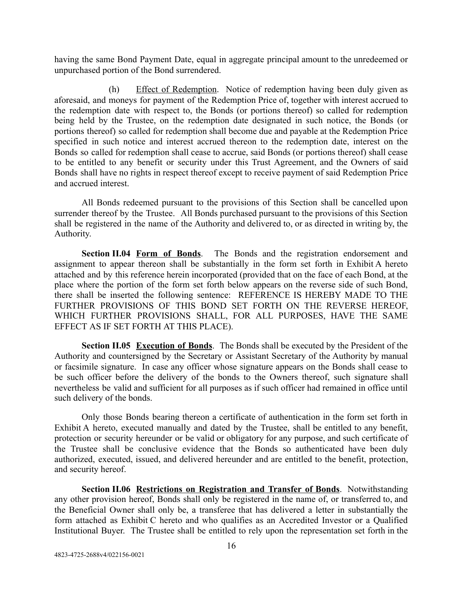having the same Bond Payment Date, equal in aggregate principal amount to the unredeemed or unpurchased portion of the Bond surrendered.

(h) Effect of Redemption. Notice of redemption having been duly given as aforesaid, and moneys for payment of the Redemption Price of, together with interest accrued to the redemption date with respect to, the Bonds (or portions thereof) so called for redemption being held by the Trustee, on the redemption date designated in such notice, the Bonds (or portions thereof) so called for redemption shall become due and payable at the Redemption Price specified in such notice and interest accrued thereon to the redemption date, interest on the Bonds so called for redemption shall cease to accrue, said Bonds (or portions thereof) shall cease to be entitled to any benefit or security under this Trust Agreement, and the Owners of said Bonds shall have no rights in respect thereof except to receive payment of said Redemption Price and accrued interest.

All Bonds redeemed pursuant to the provisions of this Section shall be cancelled upon surrender thereof by the Trustee. All Bonds purchased pursuant to the provisions of this Section shall be registered in the name of the Authority and delivered to, or as directed in writing by, the Authority.

<span id="page-19-0"></span>**Section II.04 Form of Bonds**. The Bonds and the registration endorsement and assignment to appear thereon shall be substantially in the form set forth in Exhibit A hereto attached and by this reference herein incorporated (provided that on the face of each Bond, at the place where the portion of the form set forth below appears on the reverse side of such Bond, there shall be inserted the following sentence: REFERENCE IS HEREBY MADE TO THE FURTHER PROVISIONS OF THIS BOND SET FORTH ON THE REVERSE HEREOF, WHICH FURTHER PROVISIONS SHALL, FOR ALL PURPOSES, HAVE THE SAME EFFECT AS IF SET FORTH AT THIS PLACE).

<span id="page-19-1"></span>**Section II.05 Execution of Bonds** . The Bonds shall be executed by the President of the Authority and countersigned by the Secretary or Assistant Secretary of the Authority by manual or facsimile signature. In case any officer whose signature appears on the Bonds shall cease to be such officer before the delivery of the bonds to the Owners thereof, such signature shall nevertheless be valid and sufficient for all purposes as if such officer had remained in office until such delivery of the bonds.

Only those Bonds bearing thereon a certificate of authentication in the form set forth in Exhibit A hereto, executed manually and dated by the Trustee, shall be entitled to any benefit, protection or security hereunder or be valid or obligatory for any purpose, and such certificate of the Trustee shall be conclusive evidence that the Bonds so authenticated have been duly authorized, executed, issued, and delivered hereunder and are entitled to the benefit, protection, and security hereof.

<span id="page-19-2"></span>**Section II.06 Restrictions on Registration and Transfer of Bonds.** Notwithstanding any other provision hereof, Bonds shall only be registered in the name of, or transferred to, and the Beneficial Owner shall only be, a transferee that has delivered a letter in substantially the form attached as Exhibit C hereto and who qualifies as an Accredited Investor or a Qualified Institutional Buyer. The Trustee shall be entitled to rely upon the representation set forth in the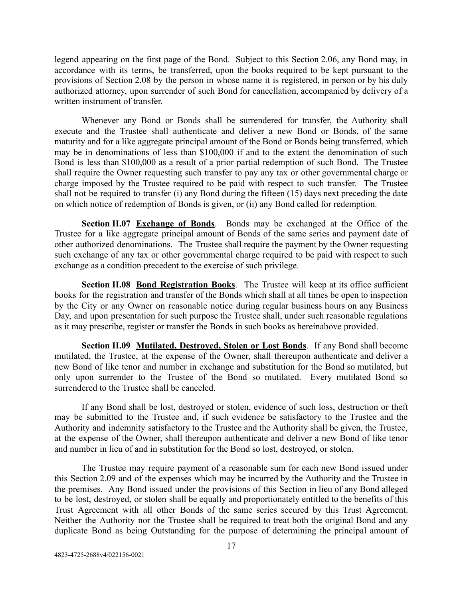legend appearing on the first page of the Bond. Subject to this Section 2.06, any Bond may, in accordance with its terms, be transferred, upon the books required to be kept pursuant to the provisions of Section 2.08 by the person in whose name it is registered, in person or by his duly authorized attorney, upon surrender of such Bond for cancellation, accompanied by delivery of a written instrument of transfer.

Whenever any Bond or Bonds shall be surrendered for transfer, the Authority shall execute and the Trustee shall authenticate and deliver a new Bond or Bonds, of the same maturity and for a like aggregate principal amount of the Bond or Bonds being transferred, which may be in denominations of less than \$100,000 if and to the extent the denomination of such Bond is less than \$100,000 as a result of a prior partial redemption of such Bond. The Trustee shall require the Owner requesting such transfer to pay any tax or other governmental charge or charge imposed by the Trustee required to be paid with respect to such transfer. The Trustee shall not be required to transfer (i) any Bond during the fifteen (15) days next preceding the date on which notice of redemption of Bonds is given, or (ii) any Bond called for redemption.

<span id="page-20-0"></span>**Section II.07 Exchange of Bonds**. Bonds may be exchanged at the Office of the Trustee for a like aggregate principal amount of Bonds of the same series and payment date of other authorized denominations. The Trustee shall require the payment by the Owner requesting such exchange of any tax or other governmental charge required to be paid with respect to such exchange as a condition precedent to the exercise of such privilege.

<span id="page-20-1"></span>**Section II.08 Bond Registration Books.** The Trustee will keep at its office sufficient books for the registration and transfer of the Bonds which shall at all times be open to inspection by the City or any Owner on reasonable notice during regular business hours on any Business Day, and upon presentation for such purpose the Trustee shall, under such reasonable regulations as it may prescribe, register or transfer the Bonds in such books as hereinabove provided.

<span id="page-20-2"></span>**Section II.09 Mutilated, Destroyed, Stolen or Lost Bonds**. If any Bond shall become mutilated, the Trustee, at the expense of the Owner, shall thereupon authenticate and deliver a new Bond of like tenor and number in exchange and substitution for the Bond so mutilated, but only upon surrender to the Trustee of the Bond so mutilated. Every mutilated Bond so surrendered to the Trustee shall be canceled.

If any Bond shall be lost, destroyed or stolen, evidence of such loss, destruction or theft may be submitted to the Trustee and, if such evidence be satisfactory to the Trustee and the Authority and indemnity satisfactory to the Trustee and the Authority shall be given, the Trustee, at the expense of the Owner, shall thereupon authenticate and deliver a new Bond of like tenor and number in lieu of and in substitution for the Bond so lost, destroyed, or stolen.

The Trustee may require payment of a reasonable sum for each new Bond issued under this Section 2.09 and of the expenses which may be incurred by the Authority and the Trustee in the premises. Any Bond issued under the provisions of this Section in lieu of any Bond alleged to be lost, destroyed, or stolen shall be equally and proportionately entitled to the benefits of this Trust Agreement with all other Bonds of the same series secured by this Trust Agreement. Neither the Authority nor the Trustee shall be required to treat both the original Bond and any duplicate Bond as being Outstanding for the purpose of determining the principal amount of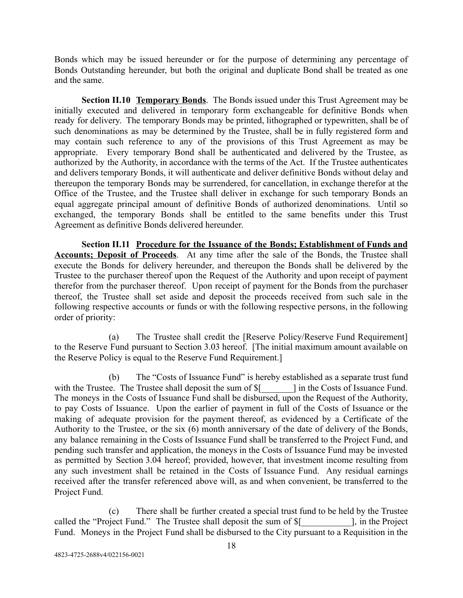Bonds which may be issued hereunder or for the purpose of determining any percentage of Bonds Outstanding hereunder, but both the original and duplicate Bond shall be treated as one and the same.

<span id="page-21-0"></span>**Section II.10 Temporary Bonds**. The Bonds issued under this Trust Agreement may be initially executed and delivered in temporary form exchangeable for definitive Bonds when ready for delivery. The temporary Bonds may be printed, lithographed or typewritten, shall be of such denominations as may be determined by the Trustee, shall be in fully registered form and may contain such reference to any of the provisions of this Trust Agreement as may be appropriate. Every temporary Bond shall be authenticated and delivered by the Trustee, as authorized by the Authority, in accordance with the terms of the Act. If the Trustee authenticates and delivers temporary Bonds, it will authenticate and deliver definitive Bonds without delay and thereupon the temporary Bonds may be surrendered, for cancellation, in exchange therefor at the Office of the Trustee, and the Trustee shall deliver in exchange for such temporary Bonds an equal aggregate principal amount of definitive Bonds of authorized denominations. Until so exchanged, the temporary Bonds shall be entitled to the same benefits under this Trust Agreement as definitive Bonds delivered hereunder.

<span id="page-21-1"></span>**Section II.11 Procedure for the Issuance of the Bonds; Establishment of Funds and Accounts; Deposit of Proceeds**. At any time after the sale of the Bonds, the Trustee shall execute the Bonds for delivery hereunder, and thereupon the Bonds shall be delivered by the Trustee to the purchaser thereof upon the Request of the Authority and upon receipt of payment therefor from the purchaser thereof. Upon receipt of payment for the Bonds from the purchaser thereof, the Trustee shall set aside and deposit the proceeds received from such sale in the following respective accounts or funds or with the following respective persons, in the following order of priority:

(a) The Trustee shall credit the [Reserve Policy/Reserve Fund Requirement] to the Reserve Fund pursuant to Section 3.03 hereof. [The initial maximum amount available on the Reserve Policy is equal to the Reserve Fund Requirement.]

(b) The "Costs of Issuance Fund" is hereby established as a separate trust fund with the Trustee. The Trustee shall deposit the sum of  $\frac{1}{2}$  in the Costs of Issuance Fund. The moneys in the Costs of Issuance Fund shall be disbursed, upon the Request of the Authority, to pay Costs of Issuance. Upon the earlier of payment in full of the Costs of Issuance or the making of adequate provision for the payment thereof, as evidenced by a Certificate of the Authority to the Trustee, or the six (6) month anniversary of the date of delivery of the Bonds, any balance remaining in the Costs of Issuance Fund shall be transferred to the Project Fund, and pending such transfer and application, the moneys in the Costs of Issuance Fund may be invested as permitted by Section 3.04 hereof; provided, however, that investment income resulting from any such investment shall be retained in the Costs of Issuance Fund. Any residual earnings received after the transfer referenced above will, as and when convenient, be transferred to the Project Fund.

(c) There shall be further created a special trust fund to be held by the Trustee called the "Project Fund." The Trustee shall deposit the sum of  $\frac{1}{2}$  [ in the Project Fund. Moneys in the Project Fund shall be disbursed to the City pursuant to a Requisition in the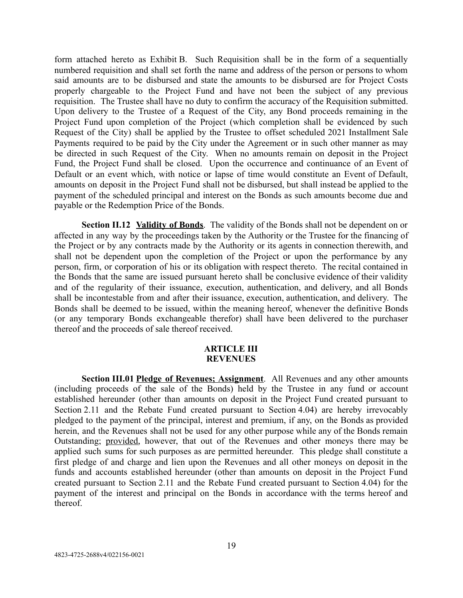form attached hereto as Exhibit B. Such Requisition shall be in the form of a sequentially numbered requisition and shall set forth the name and address of the person or persons to whom said amounts are to be disbursed and state the amounts to be disbursed are for Project Costs properly chargeable to the Project Fund and have not been the subject of any previous requisition. The Trustee shall have no duty to confirm the accuracy of the Requisition submitted. Upon delivery to the Trustee of a Request of the City, any Bond proceeds remaining in the Project Fund upon completion of the Project (which completion shall be evidenced by such Request of the City) shall be applied by the Trustee to offset scheduled 2021 Installment Sale Payments required to be paid by the City under the Agreement or in such other manner as may be directed in such Request of the City. When no amounts remain on deposit in the Project Fund, the Project Fund shall be closed. Upon the occurrence and continuance of an Event of Default or an event which, with notice or lapse of time would constitute an Event of Default, amounts on deposit in the Project Fund shall not be disbursed, but shall instead be applied to the payment of the scheduled principal and interest on the Bonds as such amounts become due and payable or the Redemption Price of the Bonds.

<span id="page-22-0"></span>**Section II.12 Validity of Bonds** . The validity of the Bonds shall not be dependent on or affected in any way by the proceedings taken by the Authority or the Trustee for the financing of the Project or by any contracts made by the Authority or its agents in connection therewith, and shall not be dependent upon the completion of the Project or upon the performance by any person, firm, or corporation of his or its obligation with respect thereto. The recital contained in the Bonds that the same are issued pursuant hereto shall be conclusive evidence of their validity and of the regularity of their issuance, execution, authentication, and delivery, and all Bonds shall be incontestable from and after their issuance, execution, authentication, and delivery. The Bonds shall be deemed to be issued, within the meaning hereof, whenever the definitive Bonds (or any temporary Bonds exchangeable therefor) shall have been delivered to the purchaser thereof and the proceeds of sale thereof received.

### **ARTICLE III REVENUES**

<span id="page-22-2"></span><span id="page-22-1"></span>**Section III.01 Pledge of Revenues; Assignment.** All Revenues and any other amounts (including proceeds of the sale of the Bonds) held by the Trustee in any fund or account established hereunder (other than amounts on deposit in the Project Fund created pursuant to Section 2.11 and the Rebate Fund created pursuant to Section 4.04) are hereby irrevocably pledged to the payment of the principal, interest and premium, if any, on the Bonds as provided herein, and the Revenues shall not be used for any other purpose while any of the Bonds remain Outstanding; provided, however, that out of the Revenues and other moneys there may be applied such sums for such purposes as are permitted hereunder. This pledge shall constitute a first pledge of and charge and lien upon the Revenues and all other moneys on deposit in the funds and accounts established hereunder (other than amounts on deposit in the Project Fund created pursuant to Section 2.11 and the Rebate Fund created pursuant to Section 4.04) for the payment of the interest and principal on the Bonds in accordance with the terms hereof and thereof.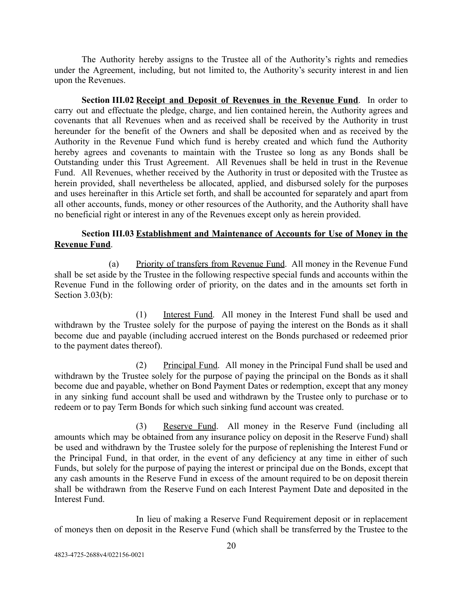The Authority hereby assigns to the Trustee all of the Authority's rights and remedies under the Agreement, including, but not limited to, the Authority's security interest in and lien upon the Revenues.

<span id="page-23-0"></span>**Section III.02 Receipt and Deposit of Revenues in the Revenue Fund.** In order to carry out and effectuate the pledge, charge, and lien contained herein, the Authority agrees and covenants that all Revenues when and as received shall be received by the Authority in trust hereunder for the benefit of the Owners and shall be deposited when and as received by the Authority in the Revenue Fund which fund is hereby created and which fund the Authority hereby agrees and covenants to maintain with the Trustee so long as any Bonds shall be Outstanding under this Trust Agreement. All Revenues shall be held in trust in the Revenue Fund. All Revenues, whether received by the Authority in trust or deposited with the Trustee as herein provided, shall nevertheless be allocated, applied, and disbursed solely for the purposes and uses hereinafter in this Article set forth, and shall be accounted for separately and apart from all other accounts, funds, money or other resources of the Authority, and the Authority shall have no beneficial right or interest in any of the Revenues except only as herein provided.

## <span id="page-23-1"></span>**Section III.03 Establishment and Maintenance of Accounts for Use of Money in the Revenue Fund.**

(a) Priority of transfers from Revenue Fund. All money in the Revenue Fund shall be set aside by the Trustee in the following respective special funds and accounts within the Revenue Fund in the following order of priority, on the dates and in the amounts set forth in Section 3.03(b):

(1) Interest Fund. All money in the Interest Fund shall be used and withdrawn by the Trustee solely for the purpose of paying the interest on the Bonds as it shall become due and payable (including accrued interest on the Bonds purchased or redeemed prior to the payment dates thereof).

(2) Principal Fund. All money in the Principal Fund shall be used and withdrawn by the Trustee solely for the purpose of paying the principal on the Bonds as it shall become due and payable, whether on Bond Payment Dates or redemption, except that any money in any sinking fund account shall be used and withdrawn by the Trustee only to purchase or to redeem or to pay Term Bonds for which such sinking fund account was created.

(3) Reserve Fund. All money in the Reserve Fund (including all amounts which may be obtained from any insurance policy on deposit in the Reserve Fund) shall be used and withdrawn by the Trustee solely for the purpose of replenishing the Interest Fund or the Principal Fund, in that order, in the event of any deficiency at any time in either of such Funds, but solely for the purpose of paying the interest or principal due on the Bonds, except that any cash amounts in the Reserve Fund in excess of the amount required to be on deposit therein shall be withdrawn from the Reserve Fund on each Interest Payment Date and deposited in the Interest Fund.

In lieu of making a Reserve Fund Requirement deposit or in replacement of moneys then on deposit in the Reserve Fund (which shall be transferred by the Trustee to the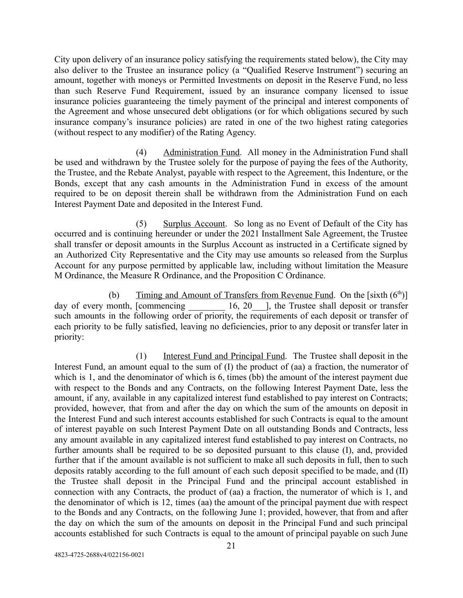City upon delivery of an insurance policy satisfying the requirements stated below), the City may also deliver to the Trustee an insurance policy (a "Qualified Reserve Instrument") securing an amount, together with moneys or Permitted Investments on deposit in the Reserve Fund, no less than such Reserve Fund Requirement, issued by an insurance company licensed to issue insurance policies guaranteeing the timely payment of the principal and interest components of the Agreement and whose unsecured debt obligations (or for which obligations secured by such insurance company's insurance policies) are rated in one of the two highest rating categories (without respect to any modifier) of the Rating Agency.

(4) Administration Fund. All money in the Administration Fund shall be used and withdrawn by the Trustee solely for the purpose of paying the fees of the Authority, the Trustee, and the Rebate Analyst, payable with respect to the Agreement, this Indenture, or the Bonds, except that any cash amounts in the Administration Fund in excess of the amount required to be on deposit therein shall be withdrawn from the Administration Fund on each Interest Payment Date and deposited in the Interest Fund.

(5) Surplus Account. So long as no Event of Default of the City has occurred and is continuing hereunder or under the 2021 Installment Sale Agreement, the Trustee shall transfer or deposit amounts in the Surplus Account as instructed in a Certificate signed by an Authorized City Representative and the City may use amounts so released from the Surplus Account for any purpose permitted by applicable law, including without limitation the Measure M Ordinance, the Measure R Ordinance, and the Proposition C Ordinance.

(b) Timing and Amount of Transfers from Revenue Fund. On the [sixth  $(6<sup>th</sup>)$ ] day of every month, [commencing  $16, 20$ ], the Trustee shall deposit or transfer such amounts in the following order of priority, the requirements of each deposit or transfer of each priority to be fully satisfied, leaving no deficiencies, prior to any deposit or transfer later in priority:

(1) Interest Fund and Principal Fund. The Trustee shall deposit in the Interest Fund, an amount equal to the sum of (I) the product of (aa) a fraction, the numerator of which is 1, and the denominator of which is 6, times (bb) the amount of the interest payment due with respect to the Bonds and any Contracts, on the following Interest Payment Date, less the amount, if any, available in any capitalized interest fund established to pay interest on Contracts; provided, however, that from and after the day on which the sum of the amounts on deposit in the Interest Fund and such interest accounts established for such Contracts is equal to the amount of interest payable on such Interest Payment Date on all outstanding Bonds and Contracts, less any amount available in any capitalized interest fund established to pay interest on Contracts, no further amounts shall be required to be so deposited pursuant to this clause (I), and, provided further that if the amount available is not sufficient to make all such deposits in full, then to such deposits ratably according to the full amount of each such deposit specified to be made, and (II) the Trustee shall deposit in the Principal Fund and the principal account established in connection with any Contracts, the product of (aa) a fraction, the numerator of which is 1, and the denominator of which is 12, times (aa) the amount of the principal payment due with respect to the Bonds and any Contracts, on the following June 1; provided, however, that from and after the day on which the sum of the amounts on deposit in the Principal Fund and such principal accounts established for such Contracts is equal to the amount of principal payable on such June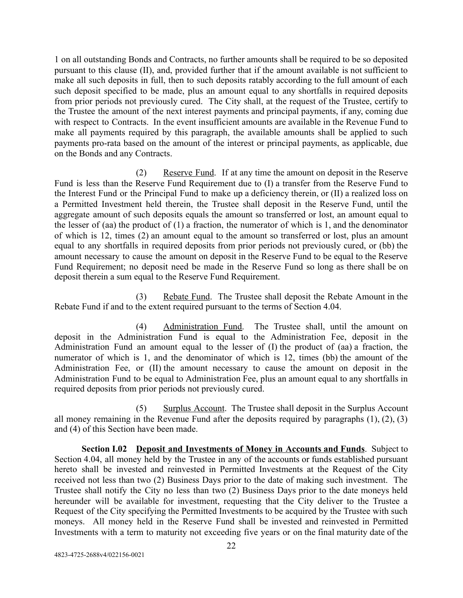1 on all outstanding Bonds and Contracts, no further amounts shall be required to be so deposited pursuant to this clause (II), and, provided further that if the amount available is not sufficient to make all such deposits in full, then to such deposits ratably according to the full amount of each such deposit specified to be made, plus an amount equal to any shortfalls in required deposits from prior periods not previously cured. The City shall, at the request of the Trustee, certify to the Trustee the amount of the next interest payments and principal payments, if any, coming due with respect to Contracts. In the event insufficient amounts are available in the Revenue Fund to make all payments required by this paragraph, the available amounts shall be applied to such payments pro-rata based on the amount of the interest or principal payments, as applicable, due on the Bonds and any Contracts.

(2) Reserve Fund. If at any time the amount on deposit in the Reserve Fund is less than the Reserve Fund Requirement due to (I) a transfer from the Reserve Fund to the Interest Fund or the Principal Fund to make up a deficiency therein, or (II) a realized loss on a Permitted Investment held therein, the Trustee shall deposit in the Reserve Fund, until the aggregate amount of such deposits equals the amount so transferred or lost, an amount equal to the lesser of (aa) the product of (1) a fraction, the numerator of which is 1, and the denominator of which is 12, times (2) an amount equal to the amount so transferred or lost, plus an amount equal to any shortfalls in required deposits from prior periods not previously cured, or (bb) the amount necessary to cause the amount on deposit in the Reserve Fund to be equal to the Reserve Fund Requirement; no deposit need be made in the Reserve Fund so long as there shall be on deposit therein a sum equal to the Reserve Fund Requirement.

(3) Rebate Fund. The Trustee shall deposit the Rebate Amount in the Rebate Fund if and to the extent required pursuant to the terms of Section 4.04.

(4) Administration Fund. The Trustee shall, until the amount on deposit in the Administration Fund is equal to the Administration Fee, deposit in the Administration Fund an amount equal to the lesser of (I) the product of (aa) a fraction, the numerator of which is 1, and the denominator of which is 12, times (bb) the amount of the Administration Fee, or (II) the amount necessary to cause the amount on deposit in the Administration Fund to be equal to Administration Fee, plus an amount equal to any shortfalls in required deposits from prior periods not previously cured.

(5) Surplus Account. The Trustee shall deposit in the Surplus Account all money remaining in the Revenue Fund after the deposits required by paragraphs (1), (2), (3) and (4) of this Section have been made.

<span id="page-25-0"></span>**Section I.02 Deposit and Investments of Money in Accounts and Funds**. Subject to Section 4.04, all money held by the Trustee in any of the accounts or funds established pursuant hereto shall be invested and reinvested in Permitted Investments at the Request of the City received not less than two (2) Business Days prior to the date of making such investment. The Trustee shall notify the City no less than two (2) Business Days prior to the date moneys held hereunder will be available for investment, requesting that the City deliver to the Trustee a Request of the City specifying the Permitted Investments to be acquired by the Trustee with such moneys. All money held in the Reserve Fund shall be invested and reinvested in Permitted Investments with a term to maturity not exceeding five years or on the final maturity date of the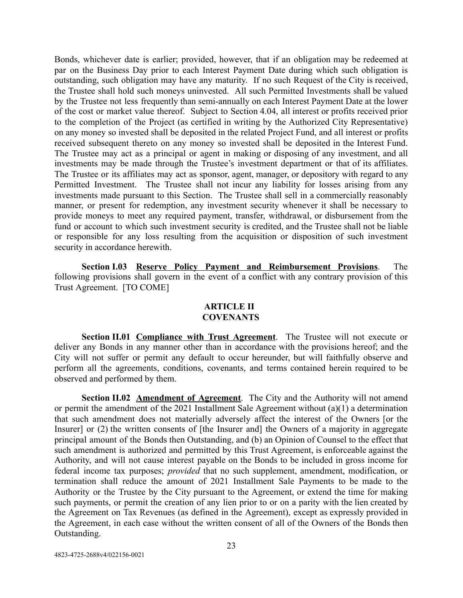Bonds, whichever date is earlier; provided, however, that if an obligation may be redeemed at par on the Business Day prior to each Interest Payment Date during which such obligation is outstanding, such obligation may have any maturity. If no such Request of the City is received, the Trustee shall hold such moneys uninvested. All such Permitted Investments shall be valued by the Trustee not less frequently than semi-annually on each Interest Payment Date at the lower of the cost or market value thereof. Subject to Section 4.04, all interest or profits received prior to the completion of the Project (as certified in writing by the Authorized City Representative) on any money so invested shall be deposited in the related Project Fund, and all interest or profits received subsequent thereto on any money so invested shall be deposited in the Interest Fund. The Trustee may act as a principal or agent in making or disposing of any investment, and all investments may be made through the Trustee's investment department or that of its affiliates. The Trustee or its affiliates may act as sponsor, agent, manager, or depository with regard to any Permitted Investment. The Trustee shall not incur any liability for losses arising from any investments made pursuant to this Section. The Trustee shall sell in a commercially reasonably manner, or present for redemption, any investment security whenever it shall be necessary to provide moneys to meet any required payment, transfer, withdrawal, or disbursement from the fund or account to which such investment security is credited, and the Trustee shall not be liable or responsible for any loss resulting from the acquisition or disposition of such investment security in accordance herewith.

<span id="page-26-0"></span>**Section I.03 Reserve Policy Payment and Reimbursement Provisions** . The following provisions shall govern in the event of a conflict with any contrary provision of this Trust Agreement. [TO COME]

## **ARTICLE II COVENANTS**

<span id="page-26-2"></span><span id="page-26-1"></span>**Section II.01 Compliance with Trust Agreement**. The Trustee will not execute or deliver any Bonds in any manner other than in accordance with the provisions hereof; and the City will not suffer or permit any default to occur hereunder, but will faithfully observe and perform all the agreements, conditions, covenants, and terms contained herein required to be observed and performed by them.

<span id="page-26-3"></span>**Section II.02 Amendment of Agreement**. The City and the Authority will not amend or permit the amendment of the 2021 Installment Sale Agreement without (a)(1) a determination that such amendment does not materially adversely affect the interest of the Owners [or the Insurer] or (2) the written consents of [the Insurer and] the Owners of a majority in aggregate principal amount of the Bonds then Outstanding, and (b) an Opinion of Counsel to the effect that such amendment is authorized and permitted by this Trust Agreement, is enforceable against the Authority, and will not cause interest payable on the Bonds to be included in gross income for federal income tax purposes; *provided* that no such supplement, amendment, modification, or termination shall reduce the amount of 2021 Installment Sale Payments to be made to the Authority or the Trustee by the City pursuant to the Agreement, or extend the time for making such payments, or permit the creation of any lien prior to or on a parity with the lien created by the Agreement on Tax Revenues (as defined in the Agreement), except as expressly provided in the Agreement, in each case without the written consent of all of the Owners of the Bonds then Outstanding.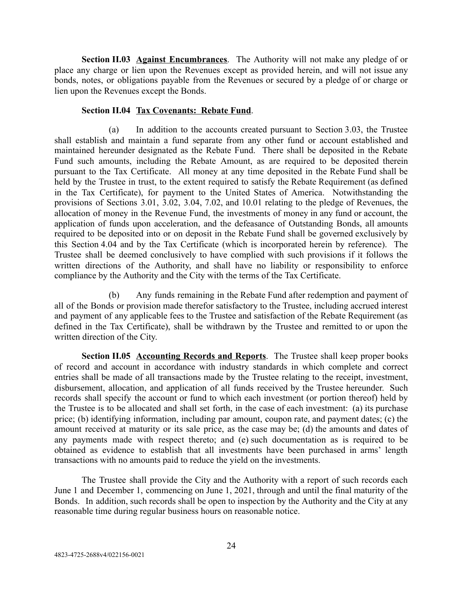<span id="page-27-0"></span>**Section II.03 Against Encumbrances**. The Authority will not make any pledge of or place any charge or lien upon the Revenues except as provided herein, and will not issue any bonds, notes, or obligations payable from the Revenues or secured by a pledge of or charge or lien upon the Revenues except the Bonds.

#### **Section II.04 Tax Covenants: Rebate Fund.**

<span id="page-27-1"></span>(a) In addition to the accounts created pursuant to Section 3.03, the Trustee shall establish and maintain a fund separate from any other fund or account established and maintained hereunder designated as the Rebate Fund. There shall be deposited in the Rebate Fund such amounts, including the Rebate Amount, as are required to be deposited therein pursuant to the Tax Certificate. All money at any time deposited in the Rebate Fund shall be held by the Trustee in trust, to the extent required to satisfy the Rebate Requirement (as defined in the Tax Certificate), for payment to the United States of America. Notwithstanding the provisions of Sections 3.01, 3.02, 3.04, 7.02, and 10.01 relating to the pledge of Revenues, the allocation of money in the Revenue Fund, the investments of money in any fund or account, the application of funds upon acceleration, and the defeasance of Outstanding Bonds, all amounts required to be deposited into or on deposit in the Rebate Fund shall be governed exclusively by this Section 4.04 and by the Tax Certificate (which is incorporated herein by reference). The Trustee shall be deemed conclusively to have complied with such provisions if it follows the written directions of the Authority, and shall have no liability or responsibility to enforce compliance by the Authority and the City with the terms of the Tax Certificate.

(b) Any funds remaining in the Rebate Fund after redemption and payment of all of the Bonds or provision made therefor satisfactory to the Trustee, including accrued interest and payment of any applicable fees to the Trustee and satisfaction of the Rebate Requirement (as defined in the Tax Certificate), shall be withdrawn by the Trustee and remitted to or upon the written direction of the City.

<span id="page-27-2"></span>**Section II.05 Accounting Records and Reports**. The Trustee shall keep proper books of record and account in accordance with industry standards in which complete and correct entries shall be made of all transactions made by the Trustee relating to the receipt, investment, disbursement, allocation, and application of all funds received by the Trustee hereunder. Such records shall specify the account or fund to which each investment (or portion thereof) held by the Trustee is to be allocated and shall set forth, in the case of each investment: (a) its purchase price; (b) identifying information, including par amount, coupon rate, and payment dates; (c) the amount received at maturity or its sale price, as the case may be; (d) the amounts and dates of any payments made with respect thereto; and (e) such documentation as is required to be obtained as evidence to establish that all investments have been purchased in arms' length transactions with no amounts paid to reduce the yield on the investments.

The Trustee shall provide the City and the Authority with a report of such records each June 1 and December 1, commencing on June 1, 2021, through and until the final maturity of the Bonds. In addition, such records shall be open to inspection by the Authority and the City at any reasonable time during regular business hours on reasonable notice.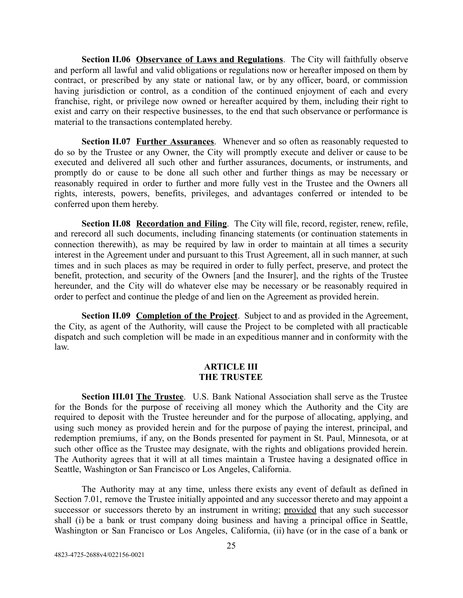<span id="page-28-0"></span>**Section II.06 Observance of Laws and Regulations**. The City will faithfully observe and perform all lawful and valid obligations or regulations now or hereafter imposed on them by contract, or prescribed by any state or national law, or by any officer, board, or commission having jurisdiction or control, as a condition of the continued enjoyment of each and every franchise, right, or privilege now owned or hereafter acquired by them, including their right to exist and carry on their respective businesses, to the end that such observance or performance is material to the transactions contemplated hereby.

<span id="page-28-1"></span>**Section II.07 Further Assurances**. Whenever and so often as reasonably requested to do so by the Trustee or any Owner, the City will promptly execute and deliver or cause to be executed and delivered all such other and further assurances, documents, or instruments, and promptly do or cause to be done all such other and further things as may be necessary or reasonably required in order to further and more fully vest in the Trustee and the Owners all rights, interests, powers, benefits, privileges, and advantages conferred or intended to be conferred upon them hereby.

<span id="page-28-2"></span>**Section II.08 Recordation and Filing**. The City will file, record, register, renew, refile, and rerecord all such documents, including financing statements (or continuation statements in connection therewith), as may be required by law in order to maintain at all times a security interest in the Agreement under and pursuant to this Trust Agreement, all in such manner, at such times and in such places as may be required in order to fully perfect, preserve, and protect the benefit, protection, and security of the Owners [and the Insurer], and the rights of the Trustee hereunder, and the City will do whatever else may be necessary or be reasonably required in order to perfect and continue the pledge of and lien on the Agreement as provided herein.

<span id="page-28-3"></span>**Section II.09 Completion of the Project.** Subject to and as provided in the Agreement, the City, as agent of the Authority, will cause the Project to be completed with all practicable dispatch and such completion will be made in an expeditious manner and in conformity with the law.

### **ARTICLE III THE TRUSTEE**

<span id="page-28-5"></span><span id="page-28-4"></span>**Section III.01 The Trustee**. U.S. Bank National Association shall serve as the Trustee for the Bonds for the purpose of receiving all money which the Authority and the City are required to deposit with the Trustee hereunder and for the purpose of allocating, applying, and using such money as provided herein and for the purpose of paying the interest, principal, and redemption premiums, if any, on the Bonds presented for payment in St. Paul, Minnesota, or at such other office as the Trustee may designate, with the rights and obligations provided herein. The Authority agrees that it will at all times maintain a Trustee having a designated office in Seattle, Washington or San Francisco or Los Angeles, California.

The Authority may at any time, unless there exists any event of default as defined in Section 7.01, remove the Trustee initially appointed and any successor thereto and may appoint a successor or successors thereto by an instrument in writing; provided that any such successor shall (i) be a bank or trust company doing business and having a principal office in Seattle, Washington or San Francisco or Los Angeles, California, (ii) have (or in the case of a bank or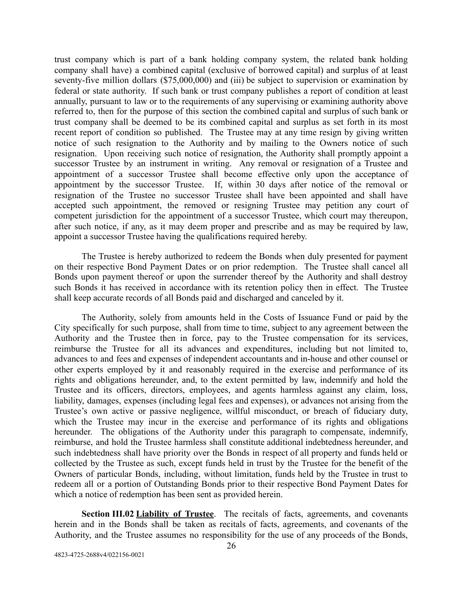trust company which is part of a bank holding company system, the related bank holding company shall have) a combined capital (exclusive of borrowed capital) and surplus of at least seventy-five million dollars (\$75,000,000) and (iii) be subject to supervision or examination by federal or state authority. If such bank or trust company publishes a report of condition at least annually, pursuant to law or to the requirements of any supervising or examining authority above referred to, then for the purpose of this section the combined capital and surplus of such bank or trust company shall be deemed to be its combined capital and surplus as set forth in its most recent report of condition so published. The Trustee may at any time resign by giving written notice of such resignation to the Authority and by mailing to the Owners notice of such resignation. Upon receiving such notice of resignation, the Authority shall promptly appoint a successor Trustee by an instrument in writing. Any removal or resignation of a Trustee and appointment of a successor Trustee shall become effective only upon the acceptance of appointment by the successor Trustee. If, within 30 days after notice of the removal or resignation of the Trustee no successor Trustee shall have been appointed and shall have accepted such appointment, the removed or resigning Trustee may petition any court of competent jurisdiction for the appointment of a successor Trustee, which court may thereupon, after such notice, if any, as it may deem proper and prescribe and as may be required by law, appoint a successor Trustee having the qualifications required hereby.

The Trustee is hereby authorized to redeem the Bonds when duly presented for payment on their respective Bond Payment Dates or on prior redemption. The Trustee shall cancel all Bonds upon payment thereof or upon the surrender thereof by the Authority and shall destroy such Bonds it has received in accordance with its retention policy then in effect. The Trustee shall keep accurate records of all Bonds paid and discharged and canceled by it.

The Authority, solely from amounts held in the Costs of Issuance Fund or paid by the City specifically for such purpose, shall from time to time, subject to any agreement between the Authority and the Trustee then in force, pay to the Trustee compensation for its services, reimburse the Trustee for all its advances and expenditures, including but not limited to, advances to and fees and expenses of independent accountants and in-house and other counsel or other experts employed by it and reasonably required in the exercise and performance of its rights and obligations hereunder, and, to the extent permitted by law, indemnify and hold the Trustee and its officers, directors, employees, and agents harmless against any claim, loss, liability, damages, expenses (including legal fees and expenses), or advances not arising from the Trustee's own active or passive negligence, willful misconduct, or breach of fiduciary duty, which the Trustee may incur in the exercise and performance of its rights and obligations hereunder. The obligations of the Authority under this paragraph to compensate, indemnify, reimburse, and hold the Trustee harmless shall constitute additional indebtedness hereunder, and such indebtedness shall have priority over the Bonds in respect of all property and funds held or collected by the Trustee as such, except funds held in trust by the Trustee for the benefit of the Owners of particular Bonds, including, without limitation, funds held by the Trustee in trust to redeem all or a portion of Outstanding Bonds prior to their respective Bond Payment Dates for which a notice of redemption has been sent as provided herein.

<span id="page-29-0"></span>**Section III.02 Liability of Trustee**. The recitals of facts, agreements, and covenants herein and in the Bonds shall be taken as recitals of facts, agreements, and covenants of the Authority, and the Trustee assumes no responsibility for the use of any proceeds of the Bonds,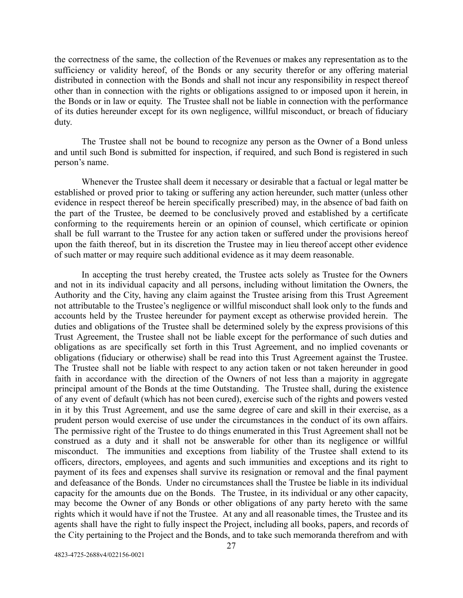the correctness of the same, the collection of the Revenues or makes any representation as to the sufficiency or validity hereof, of the Bonds or any security therefor or any offering material distributed in connection with the Bonds and shall not incur any responsibility in respect thereof other than in connection with the rights or obligations assigned to or imposed upon it herein, in the Bonds or in law or equity. The Trustee shall not be liable in connection with the performance of its duties hereunder except for its own negligence, willful misconduct, or breach of fiduciary duty.

The Trustee shall not be bound to recognize any person as the Owner of a Bond unless and until such Bond is submitted for inspection, if required, and such Bond is registered in such person's name.

Whenever the Trustee shall deem it necessary or desirable that a factual or legal matter be established or proved prior to taking or suffering any action hereunder, such matter (unless other evidence in respect thereof be herein specifically prescribed) may, in the absence of bad faith on the part of the Trustee, be deemed to be conclusively proved and established by a certificate conforming to the requirements herein or an opinion of counsel, which certificate or opinion shall be full warrant to the Trustee for any action taken or suffered under the provisions hereof upon the faith thereof, but in its discretion the Trustee may in lieu thereof accept other evidence of such matter or may require such additional evidence as it may deem reasonable.

In accepting the trust hereby created, the Trustee acts solely as Trustee for the Owners and not in its individual capacity and all persons, including without limitation the Owners, the Authority and the City, having any claim against the Trustee arising from this Trust Agreement not attributable to the Trustee's negligence or willful misconduct shall look only to the funds and accounts held by the Trustee hereunder for payment except as otherwise provided herein. The duties and obligations of the Trustee shall be determined solely by the express provisions of this Trust Agreement, the Trustee shall not be liable except for the performance of such duties and obligations as are specifically set forth in this Trust Agreement, and no implied covenants or obligations (fiduciary or otherwise) shall be read into this Trust Agreement against the Trustee. The Trustee shall not be liable with respect to any action taken or not taken hereunder in good faith in accordance with the direction of the Owners of not less than a majority in aggregate principal amount of the Bonds at the time Outstanding. The Trustee shall, during the existence of any event of default (which has not been cured), exercise such of the rights and powers vested in it by this Trust Agreement, and use the same degree of care and skill in their exercise, as a prudent person would exercise of use under the circumstances in the conduct of its own affairs. The permissive right of the Trustee to do things enumerated in this Trust Agreement shall not be construed as a duty and it shall not be answerable for other than its negligence or willful misconduct. The immunities and exceptions from liability of the Trustee shall extend to its officers, directors, employees, and agents and such immunities and exceptions and its right to payment of its fees and expenses shall survive its resignation or removal and the final payment and defeasance of the Bonds. Under no circumstances shall the Trustee be liable in its individual capacity for the amounts due on the Bonds. The Trustee, in its individual or any other capacity, may become the Owner of any Bonds or other obligations of any party hereto with the same rights which it would have if not the Trustee. At any and all reasonable times, the Trustee and its agents shall have the right to fully inspect the Project, including all books, papers, and records of the City pertaining to the Project and the Bonds, and to take such memoranda therefrom and with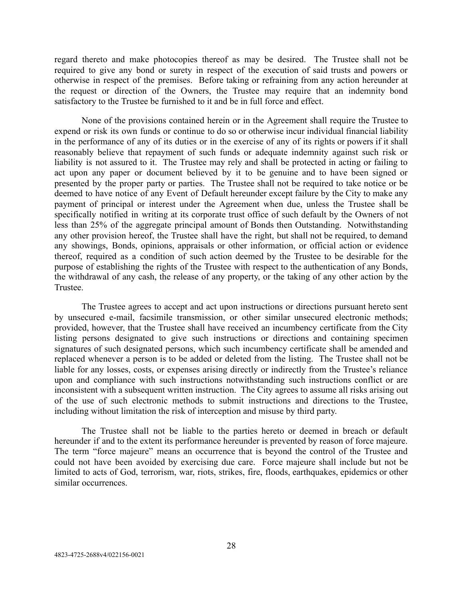regard thereto and make photocopies thereof as may be desired. The Trustee shall not be required to give any bond or surety in respect of the execution of said trusts and powers or otherwise in respect of the premises. Before taking or refraining from any action hereunder at the request or direction of the Owners, the Trustee may require that an indemnity bond satisfactory to the Trustee be furnished to it and be in full force and effect.

None of the provisions contained herein or in the Agreement shall require the Trustee to expend or risk its own funds or continue to do so or otherwise incur individual financial liability in the performance of any of its duties or in the exercise of any of its rights or powers if it shall reasonably believe that repayment of such funds or adequate indemnity against such risk or liability is not assured to it. The Trustee may rely and shall be protected in acting or failing to act upon any paper or document believed by it to be genuine and to have been signed or presented by the proper party or parties. The Trustee shall not be required to take notice or be deemed to have notice of any Event of Default hereunder except failure by the City to make any payment of principal or interest under the Agreement when due, unless the Trustee shall be specifically notified in writing at its corporate trust office of such default by the Owners of not less than 25% of the aggregate principal amount of Bonds then Outstanding. Notwithstanding any other provision hereof, the Trustee shall have the right, but shall not be required, to demand any showings, Bonds, opinions, appraisals or other information, or official action or evidence thereof, required as a condition of such action deemed by the Trustee to be desirable for the purpose of establishing the rights of the Trustee with respect to the authentication of any Bonds, the withdrawal of any cash, the release of any property, or the taking of any other action by the Trustee.

The Trustee agrees to accept and act upon instructions or directions pursuant hereto sent by unsecured e-mail, facsimile transmission, or other similar unsecured electronic methods; provided, however, that the Trustee shall have received an incumbency certificate from the City listing persons designated to give such instructions or directions and containing specimen signatures of such designated persons, which such incumbency certificate shall be amended and replaced whenever a person is to be added or deleted from the listing. The Trustee shall not be liable for any losses, costs, or expenses arising directly or indirectly from the Trustee's reliance upon and compliance with such instructions notwithstanding such instructions conflict or are inconsistent with a subsequent written instruction. The City agrees to assume all risks arising out of the use of such electronic methods to submit instructions and directions to the Trustee, including without limitation the risk of interception and misuse by third party.

The Trustee shall not be liable to the parties hereto or deemed in breach or default hereunder if and to the extent its performance hereunder is prevented by reason of force majeure. The term "force majeure" means an occurrence that is beyond the control of the Trustee and could not have been avoided by exercising due care. Force majeure shall include but not be limited to acts of God, terrorism, war, riots, strikes, fire, floods, earthquakes, epidemics or other similar occurrences.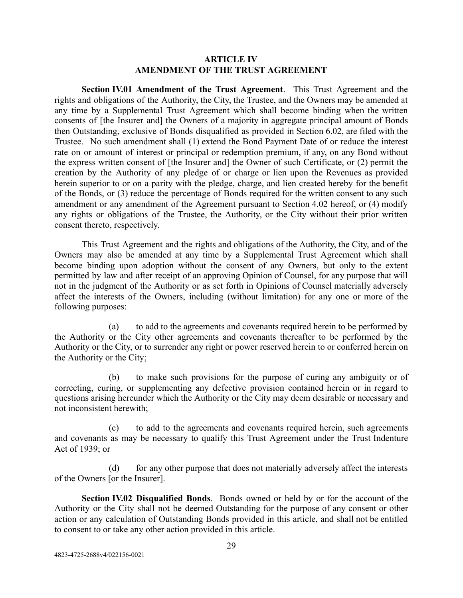## **ARTICLE IV AMENDMENT OF THE TRUST AGREEMENT**

<span id="page-32-1"></span><span id="page-32-0"></span>**Section IV.01 <u>Amendment of the Trust Agreement</u>**. This Trust Agreement and the rights and obligations of the Authority, the City, the Trustee, and the Owners may be amended at any time by a Supplemental Trust Agreement which shall become binding when the written consents of [the Insurer and] the Owners of a majority in aggregate principal amount of Bonds then Outstanding, exclusive of Bonds disqualified as provided in Section 6.02, are filed with the Trustee. No such amendment shall (1) extend the Bond Payment Date of or reduce the interest rate on or amount of interest or principal or redemption premium, if any, on any Bond without the express written consent of [the Insurer and] the Owner of such Certificate, or (2) permit the creation by the Authority of any pledge of or charge or lien upon the Revenues as provided herein superior to or on a parity with the pledge, charge, and lien created hereby for the benefit of the Bonds, or (3) reduce the percentage of Bonds required for the written consent to any such amendment or any amendment of the Agreement pursuant to Section 4.02 hereof, or (4) modify any rights or obligations of the Trustee, the Authority, or the City without their prior written consent thereto, respectively.

This Trust Agreement and the rights and obligations of the Authority, the City, and of the Owners may also be amended at any time by a Supplemental Trust Agreement which shall become binding upon adoption without the consent of any Owners, but only to the extent permitted by law and after receipt of an approving Opinion of Counsel, for any purpose that will not in the judgment of the Authority or as set forth in Opinions of Counsel materially adversely affect the interests of the Owners, including (without limitation) for any one or more of the following purposes:

(a) to add to the agreements and covenants required herein to be performed by the Authority or the City other agreements and covenants thereafter to be performed by the Authority or the City, or to surrender any right or power reserved herein to or conferred herein on the Authority or the City;

(b) to make such provisions for the purpose of curing any ambiguity or of correcting, curing, or supplementing any defective provision contained herein or in regard to questions arising hereunder which the Authority or the City may deem desirable or necessary and not inconsistent herewith;

(c) to add to the agreements and covenants required herein, such agreements and covenants as may be necessary to qualify this Trust Agreement under the Trust Indenture Act of 1939; or

(d) for any other purpose that does not materially adversely affect the interests of the Owners [or the Insurer].

<span id="page-32-2"></span>**Section IV.02 Disqualified Bonds**. Bonds owned or held by or for the account of the Authority or the City shall not be deemed Outstanding for the purpose of any consent or other action or any calculation of Outstanding Bonds provided in this article, and shall not be entitled to consent to or take any other action provided in this article.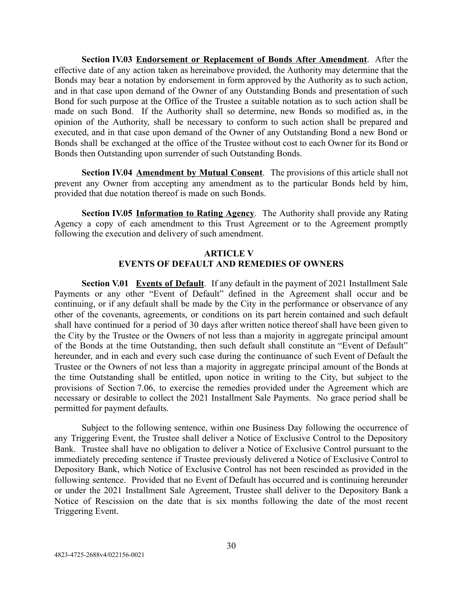<span id="page-33-0"></span>**Section IV.03 Endorsement or Replacement of Bonds After Amendment.** After the effective date of any action taken as hereinabove provided, the Authority may determine that the Bonds may bear a notation by endorsement in form approved by the Authority as to such action, and in that case upon demand of the Owner of any Outstanding Bonds and presentation of such Bond for such purpose at the Office of the Trustee a suitable notation as to such action shall be made on such Bond. If the Authority shall so determine, new Bonds so modified as, in the opinion of the Authority, shall be necessary to conform to such action shall be prepared and executed, and in that case upon demand of the Owner of any Outstanding Bond a new Bond or Bonds shall be exchanged at the office of the Trustee without cost to each Owner for its Bond or Bonds then Outstanding upon surrender of such Outstanding Bonds.

<span id="page-33-1"></span>**Section IV.04 Amendment by Mutual Consent.** The provisions of this article shall not prevent any Owner from accepting any amendment as to the particular Bonds held by him, provided that due notation thereof is made on such Bonds.

<span id="page-33-2"></span>**Section IV.05 Information to Rating Agency.** The Authority shall provide any Rating Agency a copy of each amendment to this Trust Agreement or to the Agreement promptly following the execution and delivery of such amendment.

## **ARTICLE V EVENTS OF DEFAULT AND REMEDIES OF OWNERS**

<span id="page-33-4"></span><span id="page-33-3"></span>**Section V.01 Events of Default**. If any default in the payment of 2021 Installment Sale Payments or any other "Event of Default" defined in the Agreement shall occur and be continuing, or if any default shall be made by the City in the performance or observance of any other of the covenants, agreements, or conditions on its part herein contained and such default shall have continued for a period of 30 days after written notice thereof shall have been given to the City by the Trustee or the Owners of not less than a majority in aggregate principal amount of the Bonds at the time Outstanding, then such default shall constitute an "Event of Default" hereunder, and in each and every such case during the continuance of such Event of Default the Trustee or the Owners of not less than a majority in aggregate principal amount of the Bonds at the time Outstanding shall be entitled, upon notice in writing to the City, but subject to the provisions of Section 7.06, to exercise the remedies provided under the Agreement which are necessary or desirable to collect the 2021 Installment Sale Payments. No grace period shall be permitted for payment defaults.

Subject to the following sentence, within one Business Day following the occurrence of any Triggering Event, the Trustee shall deliver a Notice of Exclusive Control to the Depository Bank. Trustee shall have no obligation to deliver a Notice of Exclusive Control pursuant to the immediately preceding sentence if Trustee previously delivered a Notice of Exclusive Control to Depository Bank, which Notice of Exclusive Control has not been rescinded as provided in the following sentence. Provided that no Event of Default has occurred and is continuing hereunder or under the 2021 Installment Sale Agreement, Trustee shall deliver to the Depository Bank a Notice of Rescission on the date that is six months following the date of the most recent Triggering Event.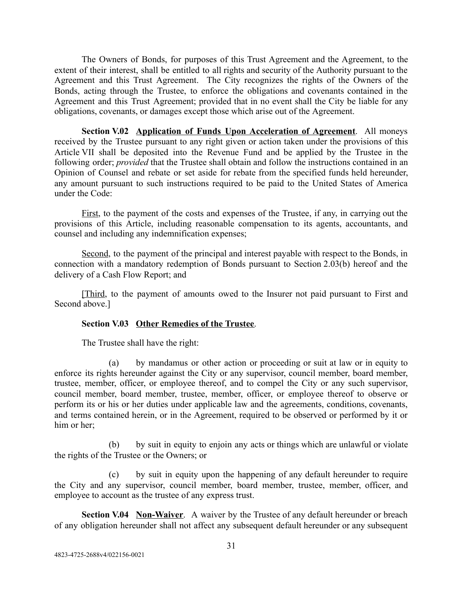The Owners of Bonds, for purposes of this Trust Agreement and the Agreement, to the extent of their interest, shall be entitled to all rights and security of the Authority pursuant to the Agreement and this Trust Agreement. The City recognizes the rights of the Owners of the Bonds, acting through the Trustee, to enforce the obligations and covenants contained in the Agreement and this Trust Agreement; provided that in no event shall the City be liable for any obligations, covenants, or damages except those which arise out of the Agreement.

<span id="page-34-0"></span>**Section V.02 Application of Funds Upon Acceleration of Agreement**. All moneys received by the Trustee pursuant to any right given or action taken under the provisions of this Article VII shall be deposited into the Revenue Fund and be applied by the Trustee in the following order; *provided* that the Trustee shall obtain and follow the instructions contained in an Opinion of Counsel and rebate or set aside for rebate from the specified funds held hereunder, any amount pursuant to such instructions required to be paid to the United States of America under the Code:

First, to the payment of the costs and expenses of the Trustee, if any, in carrying out the provisions of this Article, including reasonable compensation to its agents, accountants, and counsel and including any indemnification expenses;

Second, to the payment of the principal and interest payable with respect to the Bonds, in connection with a mandatory redemption of Bonds pursuant to Section 2.03(b) hereof and the delivery of a Cash Flow Report; and

[Third, to the payment of amounts owed to the Insurer not paid pursuant to First and Second above.]

## <span id="page-34-1"></span>**Section V.03 Other Remedies of the Trustee** .

The Trustee shall have the right:

(a) by mandamus or other action or proceeding or suit at law or in equity to enforce its rights hereunder against the City or any supervisor, council member, board member, trustee, member, officer, or employee thereof, and to compel the City or any such supervisor, council member, board member, trustee, member, officer, or employee thereof to observe or perform its or his or her duties under applicable law and the agreements, conditions, covenants, and terms contained herein, or in the Agreement, required to be observed or performed by it or him or her;

(b) by suit in equity to enjoin any acts or things which are unlawful or violate the rights of the Trustee or the Owners; or

(c) by suit in equity upon the happening of any default hereunder to require the City and any supervisor, council member, board member, trustee, member, officer, and employee to account as the trustee of any express trust.

<span id="page-34-2"></span>**Section V.04 Non-Waiver**. A waiver by the Trustee of any default hereunder or breach of any obligation hereunder shall not affect any subsequent default hereunder or any subsequent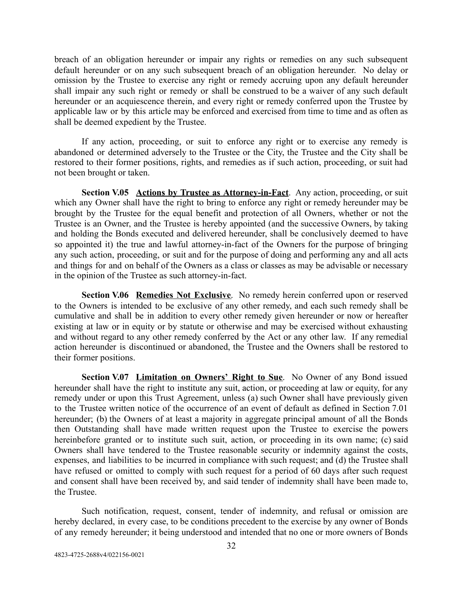breach of an obligation hereunder or impair any rights or remedies on any such subsequent default hereunder or on any such subsequent breach of an obligation hereunder. No delay or omission by the Trustee to exercise any right or remedy accruing upon any default hereunder shall impair any such right or remedy or shall be construed to be a waiver of any such default hereunder or an acquiescence therein, and every right or remedy conferred upon the Trustee by applicable law or by this article may be enforced and exercised from time to time and as often as shall be deemed expedient by the Trustee.

If any action, proceeding, or suit to enforce any right or to exercise any remedy is abandoned or determined adversely to the Trustee or the City, the Trustee and the City shall be restored to their former positions, rights, and remedies as if such action, proceeding, or suit had not been brought or taken.

<span id="page-35-0"></span>**Section V.05 Actions by Trustee as Attorney-in-Fact**. Any action, proceeding, or suit which any Owner shall have the right to bring to enforce any right or remedy hereunder may be brought by the Trustee for the equal benefit and protection of all Owners, whether or not the Trustee is an Owner, and the Trustee is hereby appointed (and the successive Owners, by taking and holding the Bonds executed and delivered hereunder, shall be conclusively deemed to have so appointed it) the true and lawful attorney-in-fact of the Owners for the purpose of bringing any such action, proceeding, or suit and for the purpose of doing and performing any and all acts and things for and on behalf of the Owners as a class or classes as may be advisable or necessary in the opinion of the Trustee as such attorney-in-fact.

<span id="page-35-1"></span>**Section V.06 Remedies Not Exclusive**. No remedy herein conferred upon or reserved to the Owners is intended to be exclusive of any other remedy, and each such remedy shall be cumulative and shall be in addition to every other remedy given hereunder or now or hereafter existing at law or in equity or by statute or otherwise and may be exercised without exhausting and without regard to any other remedy conferred by the Act or any other law. If any remedial action hereunder is discontinued or abandoned, the Trustee and the Owners shall be restored to their former positions.

<span id="page-35-2"></span>**Section V.07 Limitation on Owners' Right to Sue**. No Owner of any Bond issued hereunder shall have the right to institute any suit, action, or proceeding at law or equity, for any remedy under or upon this Trust Agreement, unless (a) such Owner shall have previously given to the Trustee written notice of the occurrence of an event of default as defined in Section 7.01 hereunder; (b) the Owners of at least a majority in aggregate principal amount of all the Bonds then Outstanding shall have made written request upon the Trustee to exercise the powers hereinbefore granted or to institute such suit, action, or proceeding in its own name; (c) said Owners shall have tendered to the Trustee reasonable security or indemnity against the costs, expenses, and liabilities to be incurred in compliance with such request; and (d) the Trustee shall have refused or omitted to comply with such request for a period of 60 days after such request and consent shall have been received by, and said tender of indemnity shall have been made to, the Trustee.

Such notification, request, consent, tender of indemnity, and refusal or omission are hereby declared, in every case, to be conditions precedent to the exercise by any owner of Bonds of any remedy hereunder; it being understood and intended that no one or more owners of Bonds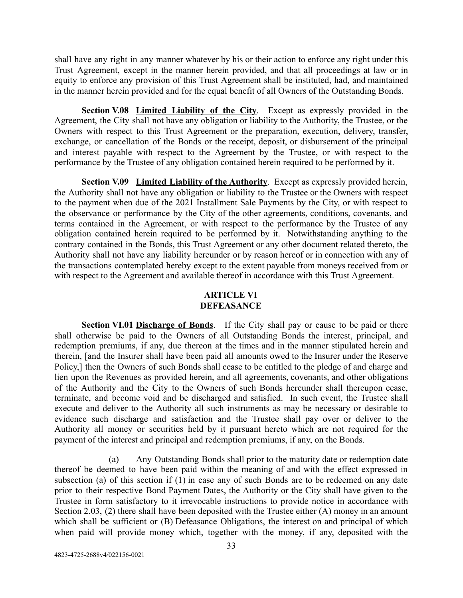shall have any right in any manner whatever by his or their action to enforce any right under this Trust Agreement, except in the manner herein provided, and that all proceedings at law or in equity to enforce any provision of this Trust Agreement shall be instituted, had, and maintained in the manner herein provided and for the equal benefit of all Owners of the Outstanding Bonds.

<span id="page-36-0"></span>**Section V.08 Limited Liability of the City**. Except as expressly provided in the Agreement, the City shall not have any obligation or liability to the Authority, the Trustee, or the Owners with respect to this Trust Agreement or the preparation, execution, delivery, transfer, exchange, or cancellation of the Bonds or the receipt, deposit, or disbursement of the principal and interest payable with respect to the Agreement by the Trustee, or with respect to the performance by the Trustee of any obligation contained herein required to be performed by it.

<span id="page-36-1"></span>**Section V.09 Limited Liability of the Authority**. Except as expressly provided herein, the Authority shall not have any obligation or liability to the Trustee or the Owners with respect to the payment when due of the 2021 Installment Sale Payments by the City, or with respect to the observance or performance by the City of the other agreements, conditions, covenants, and terms contained in the Agreement, or with respect to the performance by the Trustee of any obligation contained herein required to be performed by it. Notwithstanding anything to the contrary contained in the Bonds, this Trust Agreement or any other document related thereto, the Authority shall not have any liability hereunder or by reason hereof or in connection with any of the transactions contemplated hereby except to the extent payable from moneys received from or with respect to the Agreement and available thereof in accordance with this Trust Agreement.

## **ARTICLE VI DEFEASANCE**

<span id="page-36-3"></span><span id="page-36-2"></span>**Section VI.01 Discharge of Bonds**. If the City shall pay or cause to be paid or there shall otherwise be paid to the Owners of all Outstanding Bonds the interest, principal, and redemption premiums, if any, due thereon at the times and in the manner stipulated herein and therein, [and the Insurer shall have been paid all amounts owed to the Insurer under the Reserve Policy,] then the Owners of such Bonds shall cease to be entitled to the pledge of and charge and lien upon the Revenues as provided herein, and all agreements, covenants, and other obligations of the Authority and the City to the Owners of such Bonds hereunder shall thereupon cease, terminate, and become void and be discharged and satisfied. In such event, the Trustee shall execute and deliver to the Authority all such instruments as may be necessary or desirable to evidence such discharge and satisfaction and the Trustee shall pay over or deliver to the Authority all money or securities held by it pursuant hereto which are not required for the payment of the interest and principal and redemption premiums, if any, on the Bonds.

(a) Any Outstanding Bonds shall prior to the maturity date or redemption date thereof be deemed to have been paid within the meaning of and with the effect expressed in subsection (a) of this section if (1) in case any of such Bonds are to be redeemed on any date prior to their respective Bond Payment Dates, the Authority or the City shall have given to the Trustee in form satisfactory to it irrevocable instructions to provide notice in accordance with Section 2.03, (2) there shall have been deposited with the Trustee either (A) money in an amount which shall be sufficient or (B) Defeasance Obligations, the interest on and principal of which when paid will provide money which, together with the money, if any, deposited with the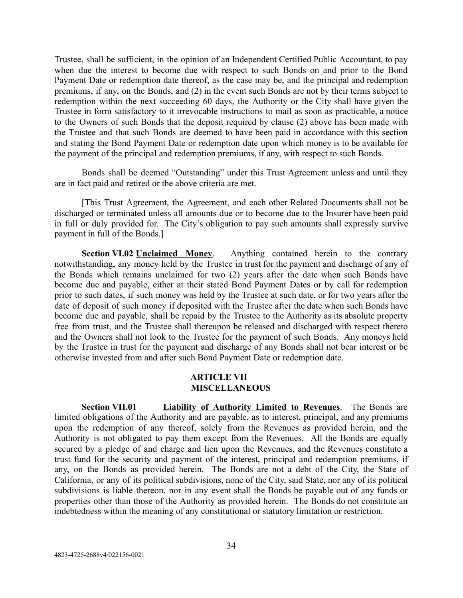Trustee, shall be sufficient, in the opinion of an Independent Certified Public Accountant, to pay when due the interest to become due with respect to such Bonds on and prior to the Bond Payment Date or redemption date thereof, as the case may be, and the principal and redemption premiums, if any, on the Bonds, and (2) in the event such Bonds are not by their terms subject to redemption within the next succeeding 60 days, the Authority or the City shall have given the Trustee in form satisfactory to it irrevocable instructions to mail as soon as practicable, a notice to the Owners of such Bonds that the deposit required by clause (2) above has been made with the Trustee and that such Bonds are deemed to have been paid in accordance with this section and stating the Bond Payment Date or redemption date upon which money is to be available for the payment of the principal and redemption premiums, if any, with respect to such Bonds.

Bonds shall be deemed "Outstanding" under this Trust Agreement unless and until they are in fact paid and retired or the above criteria are met.

[This Trust Agreement, the Agreement, and each other Related Documents shall not be discharged or terminated unless all amounts due or to become due to the Insurer have been paid in full or duly provided for. The City's obligation to pay such amounts shall expressly survive payment in full of the Bonds.]

<span id="page-37-0"></span>**Section VI.02 Unclaimed Money.** Anything contained herein to the contrary notwithstanding, any money held by the Trustee in trust for the payment and discharge of any of the Bonds which remains unclaimed for two (2) years after the date when such Bonds have become due and payable, either at their stated Bond Payment Dates or by call for redemption prior to such dates, if such money was held by the Trustee at such date, or for two years after the date of deposit of such money if deposited with the Trustee after the date when such Bonds have become due and payable, shall be repaid by the Trustee to the Authority as its absolute property free from trust, and the Trustee shall thereupon be released and discharged with respect thereto and the Owners shall not look to the Trustee for the payment of such Bonds. Any moneys held by the Trustee in trust for the payment and discharge of any Bonds shall not bear interest or be otherwise invested from and after such Bond Payment Date or redemption date.

### **ARTICLE VII MISCELLANEOUS**

<span id="page-37-2"></span><span id="page-37-1"></span>**Section VII.01 Liability of Authority Limited to Revenues**. The Bonds are limited obligations of the Authority and are payable, as to interest, principal, and any premiums upon the redemption of any thereof, solely from the Revenues as provided herein, and the Authority is not obligated to pay them except from the Revenues. All the Bonds are equally secured by a pledge of and charge and lien upon the Revenues, and the Revenues constitute a trust fund for the security and payment of the interest, principal and redemption premiums, if any, on the Bonds as provided herein. The Bonds are not a debt of the City, the State of California, or any of its political subdivisions, none of the City, said State, nor any of its political subdivisions is liable thereon, nor in any event shall the Bonds be payable out of any funds or properties other than those of the Authority as provided herein. The Bonds do not constitute an indebtedness within the meaning of any constitutional or statutory limitation or restriction.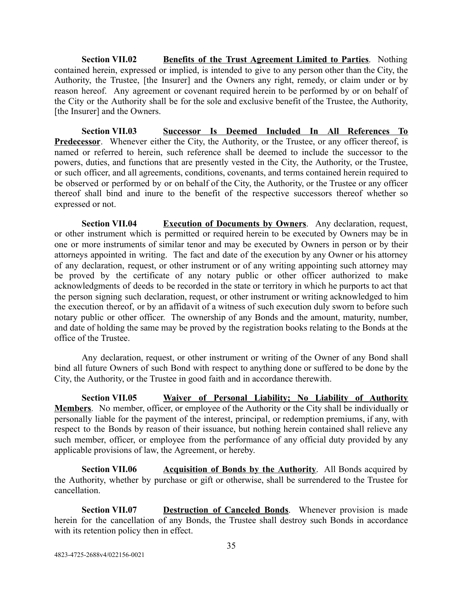<span id="page-38-0"></span>**Section VII.02 Benefits of the Trust Agreement Limited to Parties**. Nothing contained herein, expressed or implied, is intended to give to any person other than the City, the Authority, the Trustee, [the Insurer] and the Owners any right, remedy, or claim under or by reason hereof. Any agreement or covenant required herein to be performed by or on behalf of the City or the Authority shall be for the sole and exclusive benefit of the Trustee, the Authority, [the Insurer] and the Owners.

<span id="page-38-1"></span>**Section VII.03 Successor Is Deemed Included In All References To Predecessor.** Whenever either the City, the Authority, or the Trustee, or any officer thereof, is named or referred to herein, such reference shall be deemed to include the successor to the powers, duties, and functions that are presently vested in the City, the Authority, or the Trustee, or such officer, and all agreements, conditions, covenants, and terms contained herein required to be observed or performed by or on behalf of the City, the Authority, or the Trustee or any officer thereof shall bind and inure to the benefit of the respective successors thereof whether so expressed or not.

<span id="page-38-2"></span>**Section VII.04 Execution of Documents by Owners**. Any declaration, request, or other instrument which is permitted or required herein to be executed by Owners may be in one or more instruments of similar tenor and may be executed by Owners in person or by their attorneys appointed in writing. The fact and date of the execution by any Owner or his attorney of any declaration, request, or other instrument or of any writing appointing such attorney may be proved by the certificate of any notary public or other officer authorized to make acknowledgments of deeds to be recorded in the state or territory in which he purports to act that the person signing such declaration, request, or other instrument or writing acknowledged to him the execution thereof, or by an affidavit of a witness of such execution duly sworn to before such notary public or other officer. The ownership of any Bonds and the amount, maturity, number, and date of holding the same may be proved by the registration books relating to the Bonds at the office of the Trustee.

Any declaration, request, or other instrument or writing of the Owner of any Bond shall bind all future Owners of such Bond with respect to anything done or suffered to be done by the City, the Authority, or the Trustee in good faith and in accordance therewith.

<span id="page-38-3"></span>**Section VII.05 Waiver of Personal Liability; No Liability of Authority Members** . No member, officer, or employee of the Authority or the City shall be individually or personally liable for the payment of the interest, principal, or redemption premiums, if any, with respect to the Bonds by reason of their issuance, but nothing herein contained shall relieve any such member, officer, or employee from the performance of any official duty provided by any applicable provisions of law, the Agreement, or hereby.

<span id="page-38-4"></span>**Section VII.06 Acquisition of Bonds by the Authority**. All Bonds acquired by the Authority, whether by purchase or gift or otherwise, shall be surrendered to the Trustee for cancellation.

<span id="page-38-5"></span>**Section VII.07 Destruction of Canceled Bonds**. Whenever provision is made herein for the cancellation of any Bonds, the Trustee shall destroy such Bonds in accordance with its retention policy then in effect.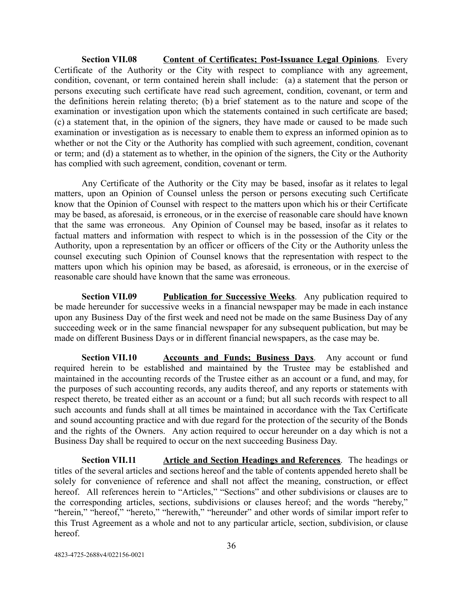<span id="page-39-0"></span>**Section VII.08 Content of Certificates; Post-Issuance Legal Opinions.** Every Certificate of the Authority or the City with respect to compliance with any agreement, condition, covenant, or term contained herein shall include: (a) a statement that the person or persons executing such certificate have read such agreement, condition, covenant, or term and the definitions herein relating thereto; (b) a brief statement as to the nature and scope of the examination or investigation upon which the statements contained in such certificate are based; (c) a statement that, in the opinion of the signers, they have made or caused to be made such examination or investigation as is necessary to enable them to express an informed opinion as to whether or not the City or the Authority has complied with such agreement, condition, covenant or term; and (d) a statement as to whether, in the opinion of the signers, the City or the Authority has complied with such agreement, condition, covenant or term.

Any Certificate of the Authority or the City may be based, insofar as it relates to legal matters, upon an Opinion of Counsel unless the person or persons executing such Certificate know that the Opinion of Counsel with respect to the matters upon which his or their Certificate may be based, as aforesaid, is erroneous, or in the exercise of reasonable care should have known that the same was erroneous. Any Opinion of Counsel may be based, insofar as it relates to factual matters and information with respect to which is in the possession of the City or the Authority, upon a representation by an officer or officers of the City or the Authority unless the counsel executing such Opinion of Counsel knows that the representation with respect to the matters upon which his opinion may be based, as aforesaid, is erroneous, or in the exercise of reasonable care should have known that the same was erroneous.

<span id="page-39-1"></span>**Section VII.09 Publication for Successive Weeks**. Any publication required to be made hereunder for successive weeks in a financial newspaper may be made in each instance upon any Business Day of the first week and need not be made on the same Business Day of any succeeding week or in the same financial newspaper for any subsequent publication, but may be made on different Business Days or in different financial newspapers, as the case may be.

<span id="page-39-2"></span>**Section VII.10 •• Accounts and Funds; Business Days.** Any account or fund required herein to be established and maintained by the Trustee may be established and maintained in the accounting records of the Trustee either as an account or a fund, and may, for the purposes of such accounting records, any audits thereof, and any reports or statements with respect thereto, be treated either as an account or a fund; but all such records with respect to all such accounts and funds shall at all times be maintained in accordance with the Tax Certificate and sound accounting practice and with due regard for the protection of the security of the Bonds and the rights of the Owners. Any action required to occur hereunder on a day which is not a Business Day shall be required to occur on the next succeeding Business Day.

<span id="page-39-3"></span>**Section VII.11 Article and Section Headings and References**. The headings or titles of the several articles and sections hereof and the table of contents appended hereto shall be solely for convenience of reference and shall not affect the meaning, construction, or effect hereof. All references herein to "Articles," "Sections" and other subdivisions or clauses are to the corresponding articles, sections, subdivisions or clauses hereof; and the words "hereby," "herein," "hereof," "hereto," "herewith," "hereunder" and other words of similar import refer to this Trust Agreement as a whole and not to any particular article, section, subdivision, or clause hereof.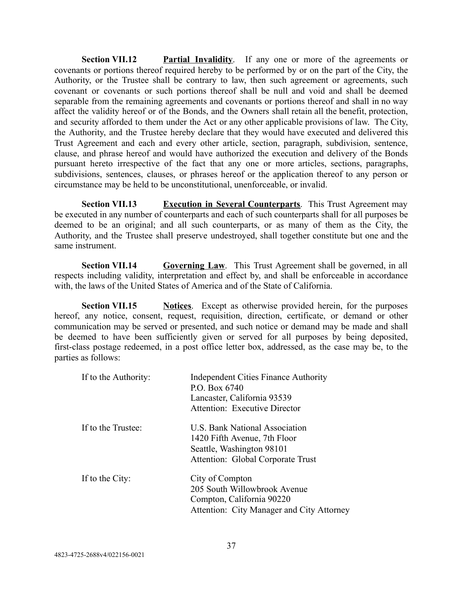<span id="page-40-0"></span>**Section VII.12 Partial Invalidity**. If any one or more of the agreements or covenants or portions thereof required hereby to be performed by or on the part of the City, the Authority, or the Trustee shall be contrary to law, then such agreement or agreements, such covenant or covenants or such portions thereof shall be null and void and shall be deemed separable from the remaining agreements and covenants or portions thereof and shall in no way affect the validity hereof or of the Bonds, and the Owners shall retain all the benefit, protection, and security afforded to them under the Act or any other applicable provisions of law. The City, the Authority, and the Trustee hereby declare that they would have executed and delivered this Trust Agreement and each and every other article, section, paragraph, subdivision, sentence, clause, and phrase hereof and would have authorized the execution and delivery of the Bonds pursuant hereto irrespective of the fact that any one or more articles, sections, paragraphs, subdivisions, sentences, clauses, or phrases hereof or the application thereof to any person or circumstance may be held to be unconstitutional, unenforceable, or invalid.

<span id="page-40-1"></span>**Section VII.13 Execution in Several Counterparts**. This Trust Agreement may be executed in any number of counterparts and each of such counterparts shall for all purposes be deemed to be an original; and all such counterparts, or as many of them as the City, the Authority, and the Trustee shall preserve undestroyed, shall together constitute but one and the same instrument.

<span id="page-40-2"></span>**Section VII.14 Governing Law**. This Trust Agreement shall be governed, in all respects including validity, interpretation and effect by, and shall be enforceable in accordance with, the laws of the United States of America and of the State of California.

<span id="page-40-3"></span>**Section VII.15 Notices Except as otherwise provided herein, for the purposes** hereof, any notice, consent, request, requisition, direction, certificate, or demand or other communication may be served or presented, and such notice or demand may be made and shall be deemed to have been sufficiently given or served for all purposes by being deposited, first-class postage redeemed, in a post office letter box, addressed, as the case may be, to the parties as follows:

| If to the Authority: | <b>Independent Cities Finance Authority</b><br>P.O. Box 6740<br>Lancaster, California 93539<br>Attention: Executive Director            |
|----------------------|-----------------------------------------------------------------------------------------------------------------------------------------|
| If to the Trustee:   | <b>U.S. Bank National Association</b><br>1420 Fifth Avenue, 7th Floor<br>Seattle, Washington 98101<br>Attention: Global Corporate Trust |
| If to the City:      | City of Compton<br>205 South Willowbrook Avenue<br>Compton, California 90220<br>Attention: City Manager and City Attorney               |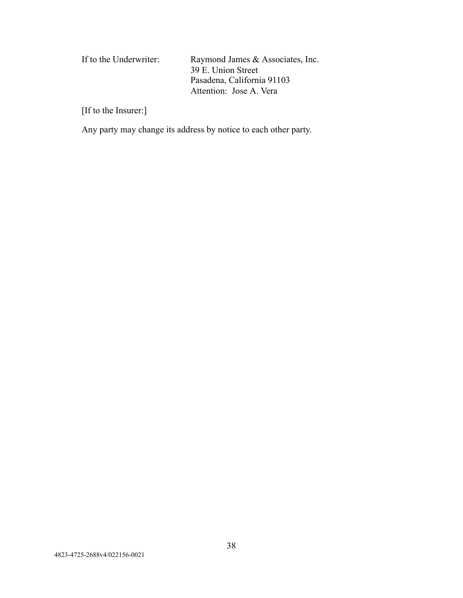| If to the Underwriter: | Raymond James & Associates, Inc. |
|------------------------|----------------------------------|
|                        | 39 E. Union Street               |
|                        | Pasadena, California 91103       |
|                        | Attention: Jose A. Vera          |

[If to the Insurer:]

Any party may change its address by notice to each other party.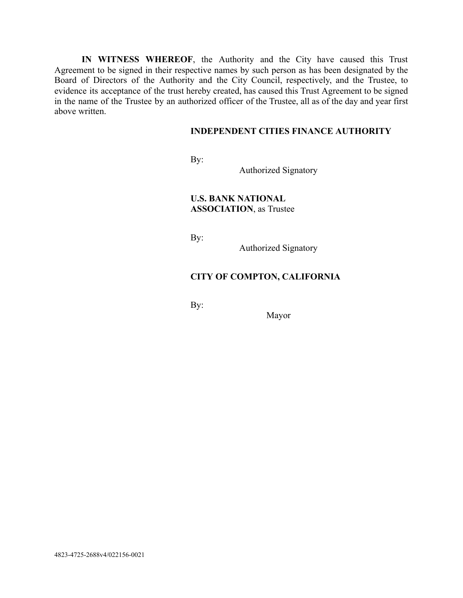IN WITNESS WHEREOF, the Authority and the City have caused this Trust Agreement to be signed in their respective names by such person as has been designated by the Board of Directors of the Authority and the City Council, respectively, and the Trustee, to evidence its acceptance of the trust hereby created, has caused this Trust Agreement to be signed in the name of the Trustee by an authorized officer of the Trustee, all as of the day and year first above written.

## **INDEPENDENT CITIES FINANCE AUTHORITY**

By:

Authorized Signatory

**U.S. BANK NATIONAL ASSOCIATION, as Trustee** 

By:

Authorized Signatory

## **CITY OF COMPTON, CALIFORNIA**

By:

Mayor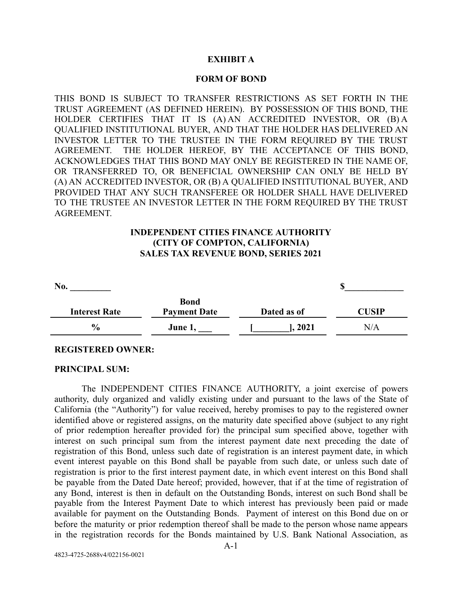## **EXHIBIT A**

### **FORM OF BOND**

THIS BOND IS SUBJECT TO TRANSFER RESTRICTIONS AS SET FORTH IN THE TRUST AGREEMENT (AS DEFINED HEREIN). BY POSSESSION OF THIS BOND, THE HOLDER CERTIFIES THAT IT IS (A) AN ACCREDITED INVESTOR, OR (B) A QUALIFIED INSTITUTIONAL BUYER, AND THAT THE HOLDER HAS DELIVERED AN INVESTOR LETTER TO THE TRUSTEE IN THE FORM REQUIRED BY THE TRUST AGREEMENT. THE HOLDER HEREOF, BY THE ACCEPTANCE OF THIS BOND, ACKNOWLEDGES THAT THIS BOND MAY ONLY BE REGISTERED IN THE NAME OF, OR TRANSFERRED TO, OR BENEFICIAL OWNERSHIP CAN ONLY BE HELD BY (A) AN ACCREDITED INVESTOR, OR (B) A QUALIFIED INSTITUTIONAL BUYER, AND PROVIDED THAT ANY SUCH TRANSFEREE OR HOLDER SHALL HAVE DELIVERED TO THE TRUSTEE AN INVESTOR LETTER IN THE FORM REQUIRED BY THE TRUST **AGREEMENT** 

## **INDEPENDENT CITIES FINANCE AUTHORITY (CITY OF COMPTON, CALIFORNIA) SALES TAX REVENUE BOND, SERIES 2021**

| No.                  |                                    |             |      |
|----------------------|------------------------------------|-------------|------|
| <b>Interest Rate</b> | <b>Bond</b><br><b>Payment Date</b> | Dated as of | USIP |
| $\frac{0}{0}$        | June 1,                            | 1,2021      | N/A  |

#### **REGISTERED OWNER:**

#### **PRINCIPAL SUM:**

The INDEPENDENT CITIES FINANCE AUTHORITY, a joint exercise of powers authority, duly organized and validly existing under and pursuant to the laws of the State of California (the "Authority") for value received, hereby promises to pay to the registered owner identified above or registered assigns, on the maturity date specified above (subject to any right of prior redemption hereafter provided for) the principal sum specified above, together with interest on such principal sum from the interest payment date next preceding the date of registration of this Bond, unless such date of registration is an interest payment date, in which event interest payable on this Bond shall be payable from such date, or unless such date of registration is prior to the first interest payment date, in which event interest on this Bond shall be payable from the Dated Date hereof; provided, however, that if at the time of registration of any Bond, interest is then in default on the Outstanding Bonds, interest on such Bond shall be payable from the Interest Payment Date to which interest has previously been paid or made available for payment on the Outstanding Bonds. Payment of interest on this Bond due on or before the maturity or prior redemption thereof shall be made to the person whose name appears in the registration records for the Bonds maintained by U.S. Bank National Association, as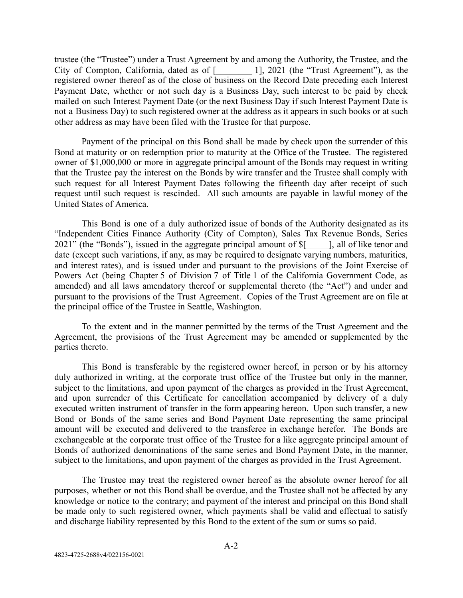trustee (the "Trustee") under a Trust Agreement by and among the Authority, the Trustee, and the City of Compton, California, dated as of [1, 2021 (the "Trust Agreement"), as the registered owner thereof as of the close of business on the Record Date preceding each Interest Payment Date, whether or not such day is a Business Day, such interest to be paid by check mailed on such Interest Payment Date (or the next Business Day if such Interest Payment Date is not a Business Day) to such registered owner at the address as it appears in such books or at such other address as may have been filed with the Trustee for that purpose.

Payment of the principal on this Bond shall be made by check upon the surrender of this Bond at maturity or on redemption prior to maturity at the Office of the Trustee. The registered owner of \$1,000,000 or more in aggregate principal amount of the Bonds may request in writing that the Trustee pay the interest on the Bonds by wire transfer and the Trustee shall comply with such request for all Interest Payment Dates following the fifteenth day after receipt of such request until such request is rescinded. All such amounts are payable in lawful money of the United States of America.

This Bond is one of a duly authorized issue of bonds of the Authority designated as its "Independent Cities Finance Authority (City of Compton), Sales Tax Revenue Bonds, Series 2021" (the "Bonds"), issued in the aggregate principal amount of  $\[\$\]$  [, all of like tenor and date (except such variations, if any, as may be required to designate varying numbers, maturities, and interest rates), and is issued under and pursuant to the provisions of the Joint Exercise of Powers Act (being Chapter 5 of Division 7 of Title 1 of the California Government Code, as amended) and all laws amendatory thereof or supplemental thereto (the "Act") and under and pursuant to the provisions of the Trust Agreement. Copies of the Trust Agreement are on file at the principal office of the Trustee in Seattle, Washington.

To the extent and in the manner permitted by the terms of the Trust Agreement and the Agreement, the provisions of the Trust Agreement may be amended or supplemented by the parties thereto.

This Bond is transferable by the registered owner hereof, in person or by his attorney duly authorized in writing, at the corporate trust office of the Trustee but only in the manner, subject to the limitations, and upon payment of the charges as provided in the Trust Agreement, and upon surrender of this Certificate for cancellation accompanied by delivery of a duly executed written instrument of transfer in the form appearing hereon. Upon such transfer, a new Bond or Bonds of the same series and Bond Payment Date representing the same principal amount will be executed and delivered to the transferee in exchange herefor. The Bonds are exchangeable at the corporate trust office of the Trustee for a like aggregate principal amount of Bonds of authorized denominations of the same series and Bond Payment Date, in the manner, subject to the limitations, and upon payment of the charges as provided in the Trust Agreement.

The Trustee may treat the registered owner hereof as the absolute owner hereof for all purposes, whether or not this Bond shall be overdue, and the Trustee shall not be affected by any knowledge or notice to the contrary; and payment of the interest and principal on this Bond shall be made only to such registered owner, which payments shall be valid and effectual to satisfy and discharge liability represented by this Bond to the extent of the sum or sums so paid.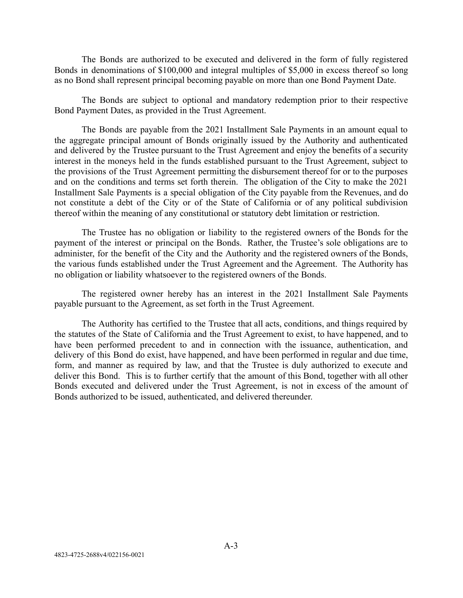The Bonds are authorized to be executed and delivered in the form of fully registered Bonds in denominations of \$100,000 and integral multiples of \$5,000 in excess thereof so long as no Bond shall represent principal becoming payable on more than one Bond Payment Date.

The Bonds are subject to optional and mandatory redemption prior to their respective Bond Payment Dates, as provided in the Trust Agreement.

The Bonds are payable from the 2021 Installment Sale Payments in an amount equal to the aggregate principal amount of Bonds originally issued by the Authority and authenticated and delivered by the Trustee pursuant to the Trust Agreement and enjoy the benefits of a security interest in the moneys held in the funds established pursuant to the Trust Agreement, subject to the provisions of the Trust Agreement permitting the disbursement thereof for or to the purposes and on the conditions and terms set forth therein. The obligation of the City to make the 2021 Installment Sale Payments is a special obligation of the City payable from the Revenues, and do not constitute a debt of the City or of the State of California or of any political subdivision thereof within the meaning of any constitutional or statutory debt limitation or restriction.

The Trustee has no obligation or liability to the registered owners of the Bonds for the payment of the interest or principal on the Bonds. Rather, the Trustee's sole obligations are to administer, for the benefit of the City and the Authority and the registered owners of the Bonds, the various funds established under the Trust Agreement and the Agreement. The Authority has no obligation or liability whatsoever to the registered owners of the Bonds.

The registered owner hereby has an interest in the 2021 Installment Sale Payments payable pursuant to the Agreement, as set forth in the Trust Agreement.

The Authority has certified to the Trustee that all acts, conditions, and things required by the statutes of the State of California and the Trust Agreement to exist, to have happened, and to have been performed precedent to and in connection with the issuance, authentication, and delivery of this Bond do exist, have happened, and have been performed in regular and due time, form, and manner as required by law, and that the Trustee is duly authorized to execute and deliver this Bond. This is to further certify that the amount of this Bond, together with all other Bonds executed and delivered under the Trust Agreement, is not in excess of the amount of Bonds authorized to be issued, authenticated, and delivered thereunder.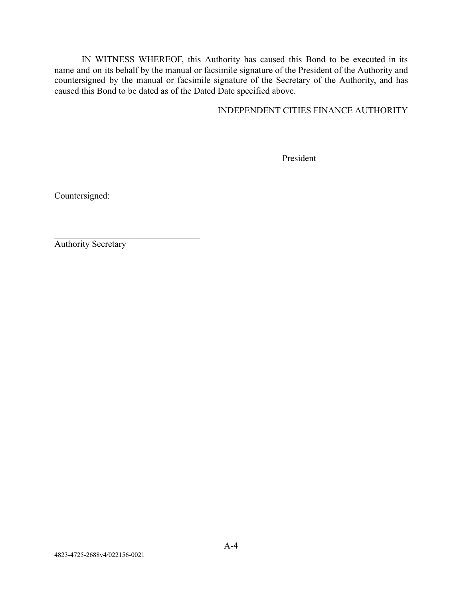IN WITNESS WHEREOF, this Authority has caused this Bond to be executed in its name and on its behalf by the manual or facsimile signature of the President of the Authority and countersigned by the manual or facsimile signature of the Secretary of the Authority, and has caused this Bond to be dated as of the Dated Date specified above.

INDEPENDENT CITIES FINANCE AUTHORITY

President

Countersigned:

Authority Secretary

 $\mathcal{L}_\text{max}$  , where  $\mathcal{L}_\text{max}$  and  $\mathcal{L}_\text{max}$  and  $\mathcal{L}_\text{max}$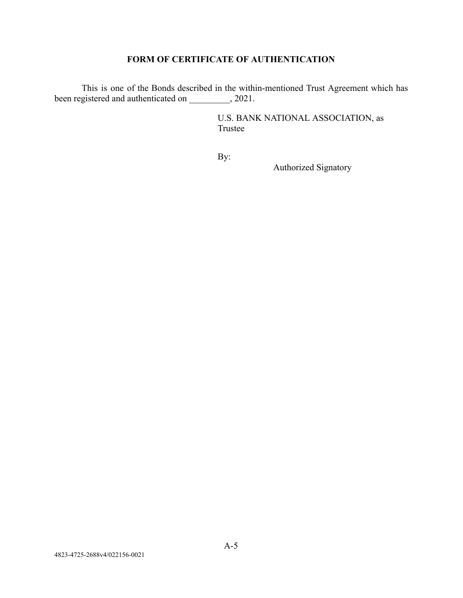# **FORM OF CERTIFICATE OF AUTHENTICATION**

This is one of the Bonds described in the within-mentioned Trust Agreement which has been registered and authenticated on \_\_\_\_\_\_\_\_, 2021.

> U.S. BANK NATIONAL ASSOCIATION, as Trustee

By:

Authorized Signatory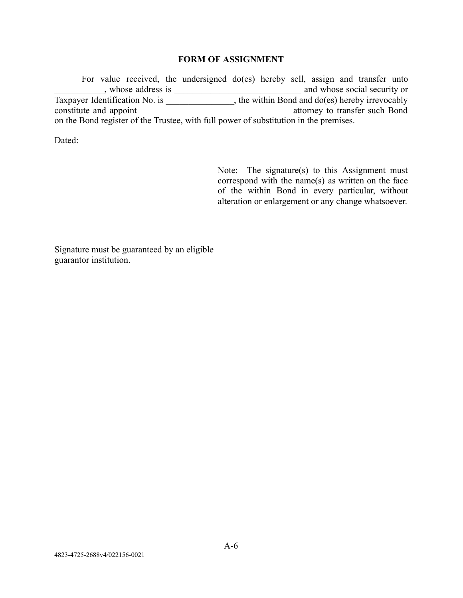## **FORM OF ASSIGNMENT**

For value received, the undersigned do(es) hereby sell, assign and transfer unto \_\_\_\_\_\_\_\_\_\_\_, whose address is \_\_\_\_\_\_\_\_\_\_\_\_\_\_\_\_\_\_\_\_\_\_\_\_\_\_\_\_ and whose social security or Taxpayer Identification No. is \_\_\_\_\_\_\_\_\_\_\_\_\_\_, the within Bond and do(es) hereby irrevocably constitute and appoint \_\_\_\_\_\_\_\_\_\_\_\_\_\_\_\_\_\_\_\_\_\_\_\_\_\_\_\_\_\_\_\_\_ attorney to transfer such Bond on the Bond register of the Trustee, with full power of substitution in the premises.

Dated:

Note: The signature(s) to this Assignment must correspond with the name $(s)$  as written on the face of the within Bond in every particular, without alteration or enlargement or any change whatsoever.

Signature must be guaranteed by an eligible guarantor institution.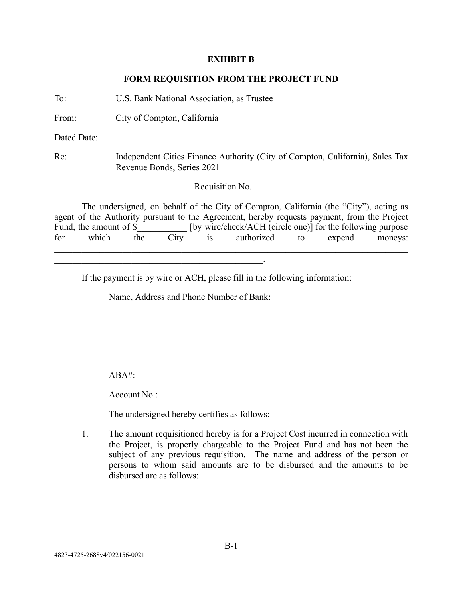### **EXHIBIT B**

## **FORM REQUISITION FROM THE PROJECT FUND**

To: U.S. Bank National Association, as Trustee

 $\mathcal{L}_\text{max}$  and  $\mathcal{L}_\text{max}$  and  $\mathcal{L}_\text{max}$  and  $\mathcal{L}_\text{max}$  and  $\mathcal{L}_\text{max}$ 

From: City of Compton, California

Dated Date:

Re: Independent Cities Finance Authority (City of Compton, California), Sales Tax Revenue Bonds, Series 2021

Requisition No. \_\_\_

The undersigned, on behalf of the City of Compton, California (the "City"), acting as agent of the Authority pursuant to the Agreement, hereby requests payment, from the Project Fund, the amount of \$ [by wire/check/ACH (circle one)] for the following purpose  $[$  by wire/check/ACH (circle one)] for the following purpose for which the City is authorized to expend moneys:  $\mathcal{L}_\mathcal{L} = \mathcal{L}_\mathcal{L} = \mathcal{L}_\mathcal{L} = \mathcal{L}_\mathcal{L} = \mathcal{L}_\mathcal{L} = \mathcal{L}_\mathcal{L} = \mathcal{L}_\mathcal{L} = \mathcal{L}_\mathcal{L} = \mathcal{L}_\mathcal{L} = \mathcal{L}_\mathcal{L} = \mathcal{L}_\mathcal{L} = \mathcal{L}_\mathcal{L} = \mathcal{L}_\mathcal{L} = \mathcal{L}_\mathcal{L} = \mathcal{L}_\mathcal{L} = \mathcal{L}_\mathcal{L} = \mathcal{L}_\mathcal{L}$ 

If the payment is by wire or ACH, please fill in the following information:

Name, Address and Phone Number of Bank:

 $ABA#^$ 

Account No.:

The undersigned hereby certifies as follows:

1. The amount requisitioned hereby is for a Project Cost incurred in connection with the Project, is properly chargeable to the Project Fund and has not been the subject of any previous requisition. The name and address of the person or persons to whom said amounts are to be disbursed and the amounts to be disbursed are as follows: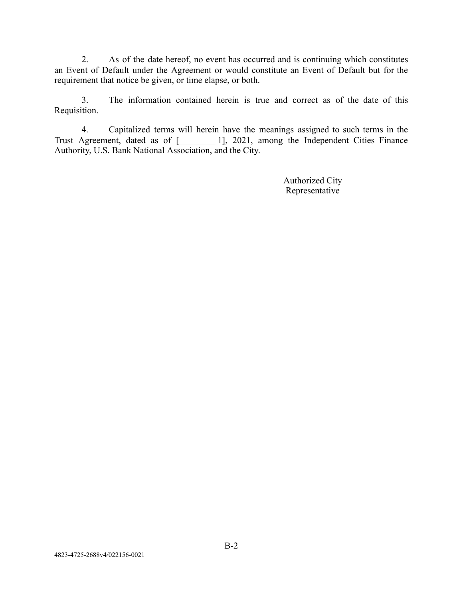2. As of the date hereof, no event has occurred and is continuing which constitutes an Event of Default under the Agreement or would constitute an Event of Default but for the requirement that notice be given, or time elapse, or both.

3. The information contained herein is true and correct as of the date of this Requisition.

4. Capitalized terms will herein have the meanings assigned to such terms in the Trust Agreement, dated as of [\_\_\_\_\_\_\_\_ 1], 2021, among the Independent Cities Finance Authority, U.S. Bank National Association, and the City.

> Authorized City Representative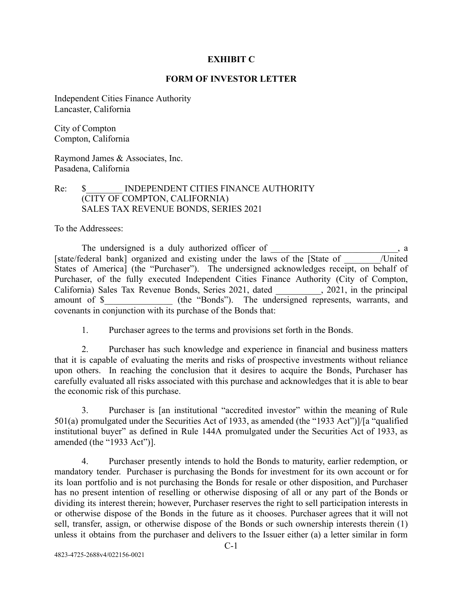## **EXHIBIT C**

## **FORM OF INVESTOR LETTER**

Independent Cities Finance Authority Lancaster, California

City of Compton Compton, California

Raymond James & Associates, Inc. Pasadena, California

## Re:  $\quad$  INDEPENDENT CITIES FINANCE AUTHORITY (CITY OF COMPTON, CALIFORNIA) SALES TAX REVENUE BONDS, SERIES 2021

To the Addressees:

The undersigned is a duly authorized officer of  $\qquad \qquad$ , a [state/federal bank] organized and existing under the laws of the [State of Tunited States of America] (the "Purchaser"). The undersigned acknowledges receipt, on behalf of Purchaser, of the fully executed Independent Cities Finance Authority (City of Compton, California) Sales Tax Revenue Bonds, Series 2021, dated \_\_\_\_\_\_\_\_\_\_, 2021, in the principal amount of \$ (the "Bonds"). The undersigned represents, warrants, and covenants in conjunction with its purchase of the Bonds that:

1. Purchaser agrees to the terms and provisions set forth in the Bonds.

2. Purchaser has such knowledge and experience in financial and business matters that it is capable of evaluating the merits and risks of prospective investments without reliance upon others. In reaching the conclusion that it desires to acquire the Bonds, Purchaser has carefully evaluated all risks associated with this purchase and acknowledges that it is able to bear the economic risk of this purchase.

3. Purchaser is [an institutional "accredited investor" within the meaning of Rule 501(a) promulgated under the Securities Act of 1933, as amended (the "1933 Act")]/[a "qualified institutional buyer" as defined in Rule 144A promulgated under the Securities Act of 1933, as amended (the "1933 Act")].

4. Purchaser presently intends to hold the Bonds to maturity, earlier redemption, or mandatory tender. Purchaser is purchasing the Bonds for investment for its own account or for its loan portfolio and is not purchasing the Bonds for resale or other disposition, and Purchaser has no present intention of reselling or otherwise disposing of all or any part of the Bonds or dividing its interest therein; however, Purchaser reserves the right to sell participation interests in or otherwise dispose of the Bonds in the future as it chooses. Purchaser agrees that it will not sell, transfer, assign, or otherwise dispose of the Bonds or such ownership interests therein (1) unless it obtains from the purchaser and delivers to the Issuer either (a) a letter similar in form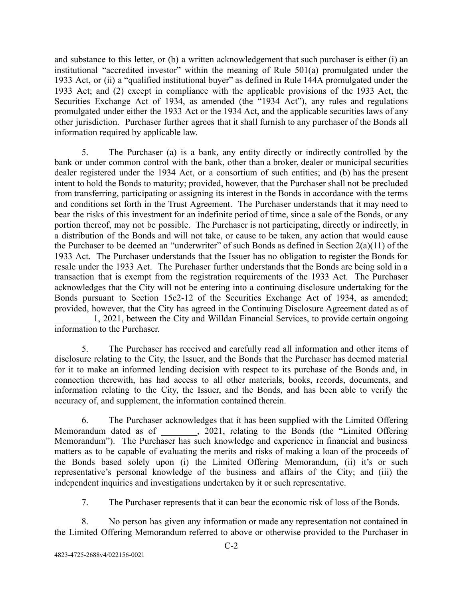and substance to this letter, or (b) a written acknowledgement that such purchaser is either (i) an institutional "accredited investor" within the meaning of Rule 501(a) promulgated under the 1933 Act, or (ii) a "qualified institutional buyer" as defined in Rule 144A promulgated under the 1933 Act; and (2) except in compliance with the applicable provisions of the 1933 Act, the Securities Exchange Act of 1934, as amended (the "1934 Act"), any rules and regulations promulgated under either the 1933 Act or the 1934 Act, and the applicable securities laws of any other jurisdiction. Purchaser further agrees that it shall furnish to any purchaser of the Bonds all information required by applicable law.

5. The Purchaser (a) is a bank, any entity directly or indirectly controlled by the bank or under common control with the bank, other than a broker, dealer or municipal securities dealer registered under the 1934 Act, or a consortium of such entities; and (b) has the present intent to hold the Bonds to maturity; provided, however, that the Purchaser shall not be precluded from transferring, participating or assigning its interest in the Bonds in accordance with the terms and conditions set forth in the Trust Agreement. The Purchaser understands that it may need to bear the risks of this investment for an indefinite period of time, since a sale of the Bonds, or any portion thereof, may not be possible. The Purchaser is not participating, directly or indirectly, in a distribution of the Bonds and will not take, or cause to be taken, any action that would cause the Purchaser to be deemed an "underwriter" of such Bonds as defined in Section  $2(a)(11)$  of the 1933 Act. The Purchaser understands that the Issuer has no obligation to register the Bonds for resale under the 1933 Act. The Purchaser further understands that the Bonds are being sold in a transaction that is exempt from the registration requirements of the 1933 Act. The Purchaser acknowledges that the City will not be entering into a continuing disclosure undertaking for the Bonds pursuant to Section 15c2-12 of the Securities Exchange Act of 1934, as amended; provided, however, that the City has agreed in the Continuing Disclosure Agreement dated as of 1, 2021, between the City and Willdan Financial Services, to provide certain ongoing information to the Purchaser.

5. The Purchaser has received and carefully read all information and other items of disclosure relating to the City, the Issuer, and the Bonds that the Purchaser has deemed material for it to make an informed lending decision with respect to its purchase of the Bonds and, in connection therewith, has had access to all other materials, books, records, documents, and information relating to the City, the Issuer, and the Bonds, and has been able to verify the accuracy of, and supplement, the information contained therein.

6. The Purchaser acknowledges that it has been supplied with the Limited Offering Memorandum dated as of , 2021, relating to the Bonds (the "Limited Offering Memorandum"). The Purchaser has such knowledge and experience in financial and business matters as to be capable of evaluating the merits and risks of making a loan of the proceeds of the Bonds based solely upon (i) the Limited Offering Memorandum, (ii) it's or such representative's personal knowledge of the business and affairs of the City; and (iii) the independent inquiries and investigations undertaken by it or such representative.

7. The Purchaser represents that it can bear the economic risk of loss of the Bonds.

8. No person has given any information or made any representation not contained in the Limited Offering Memorandum referred to above or otherwise provided to the Purchaser in